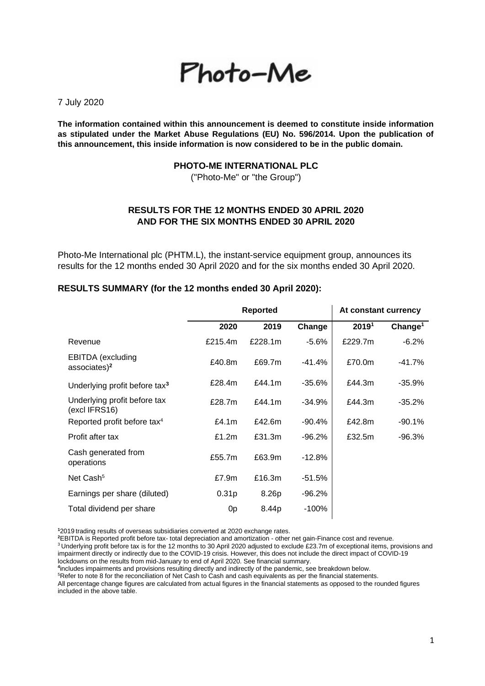# Photo-Me

7 July 2020

**The information contained within this announcement is deemed to constitute inside information as stipulated under the Market Abuse Regulations (EU) No. 596/2014. Upon the publication of this announcement, this inside information is now considered to be in the public domain.**

#### **PHOTO-ME INTERNATIONAL PLC**

("Photo-Me" or "the Group")

# **RESULTS FOR THE 12 MONTHS ENDED 30 APRIL 2020 AND FOR THE SIX MONTHS ENDED 30 APRIL 2020**

Photo-Me International plc (PHTM.L), the instant-service equipment group, announces its results for the 12 months ended 30 April 2020 and for the six months ended 30 April 2020.

#### **RESULTS SUMMARY (for the 12 months ended 30 April 2020):**

|                                                      | <b>Reported</b>   |         |           | At constant currency |                     |
|------------------------------------------------------|-------------------|---------|-----------|----------------------|---------------------|
|                                                      | 2020              | 2019    | Change    | 20191                | Change <sup>1</sup> |
| Revenue                                              | £215.4m           | £228.1m | $-5.6%$   | £229.7m              | $-6.2%$             |
| <b>EBITDA</b> (excluding<br>associates) <sup>2</sup> | £40.8m            | £69.7m  | -41.4%    | £70.0m               | -41.7%              |
| Underlying profit before tax <sup>3</sup>            | £28.4m            | £44.1m  | $-35.6\%$ | £44.3m               | -35.9%              |
| Underlying profit before tax<br>(excl IFRS16)        | £28.7m            | £44.1m  | $-34.9%$  | £44.3m               | -35.2%              |
| Reported profit before tax <sup>4</sup>              | £4.1 $m$          | £42.6m  | $-90.4%$  | £42.8m               | -90.1%              |
| Profit after tax                                     | £1.2 $m$          | £31.3m  | $-96.2%$  | £32.5m               | -96.3%              |
| Cash generated from<br>operations                    | £55.7m            | £63.9m  | $-12.8%$  |                      |                     |
| Net Cash <sup>5</sup>                                | £7.9m             | £16.3m  | $-51.5%$  |                      |                     |
| Earnings per share (diluted)                         | 0.31 <sub>p</sub> | 8.26p   | -96.2%    |                      |                     |
| Total dividend per share                             | 0 <sub>p</sub>    | 8.44p   | $-100%$   |                      |                     |

**<sup>1</sup>**2019 trading results of overseas subsidiaries converted at 2020 exchange rates.

**<sup>2</sup>**EBITDA is Reported profit before tax- total depreciation and amortization - other net gain-Finance cost and revenue.

<sup>3</sup> Underlying profit before tax is for the 12 months to 30 April 2020 adjusted to exclude £23.7m of exceptional items, provisions and impairment directly or indirectly due to the COVID-19 crisis. However, this does not include the direct impact of COVID-19 lockdowns on the results from mid-January to end of April 2020. See financial summary.

**4** includes impairments and provisions resulting directly and indirectly of the pandemic, see breakdown below.

<sup>5</sup>Refer to note 8 for the reconciliation of Net Cash to Cash and cash equivalents as per the financial statements.

All percentage change figures are calculated from actual figures in the financial statements as opposed to the rounded figures included in the above table.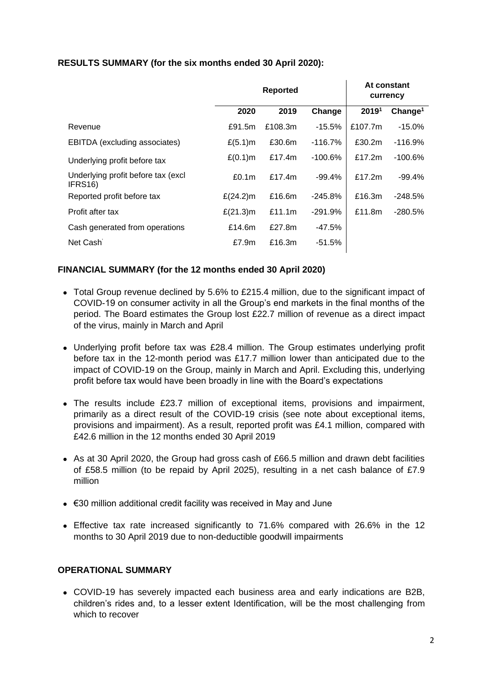# **RESULTS SUMMARY (for the six months ended 30 April 2020):**

| <b>Reported</b>   |           |           |           | At constant<br>currency |
|-------------------|-----------|-----------|-----------|-------------------------|
| 2020              | 2019      | Change    | 20191     | Change <sup>1</sup>     |
| £91.5m            | £108.3m   | $-15.5%$  | £107.7m   | $-15.0%$                |
| $£(5.1)$ m        | £30.6m    | $-116.7%$ | £30.2m    | $-116.9%$               |
| $£(0.1)$ m        | £17.4m    | $-100.6%$ | £17.2 $m$ | $-100.6\%$              |
| £0.1 <sub>m</sub> | £17.4m    | $-99.4%$  | £17.2m    | $-99.4\%$               |
| £ $(24.2)$ m      | £16.6m    | $-245.8%$ | £16.3m    | $-248.5%$               |
| £ $(21.3)$ m      | £11.1 $m$ | $-291.9%$ | £11.8m    | $-280.5%$               |
| £14.6 $m$         | £27.8m    | $-47.5%$  |           |                         |
| £7.9m             | £16.3m    | $-51.5%$  |           |                         |
|                   |           |           |           |                         |

# **FINANCIAL SUMMARY (for the 12 months ended 30 April 2020)**

- Total Group revenue declined by 5.6% to £215.4 million, due to the significant impact of COVID-19 on consumer activity in all the Group's end markets in the final months of the period. The Board estimates the Group lost £22.7 million of revenue as a direct impact of the virus, mainly in March and April
- Underlying profit before tax was £28.4 million. The Group estimates underlying profit before tax in the 12-month period was £17.7 million lower than anticipated due to the impact of COVID-19 on the Group, mainly in March and April. Excluding this, underlying profit before tax would have been broadly in line with the Board's expectations
- The results include £23.7 million of exceptional items, provisions and impairment, primarily as a direct result of the COVID-19 crisis (see note about exceptional items, provisions and impairment). As a result, reported profit was £4.1 million, compared with £42.6 million in the 12 months ended 30 April 2019
- As at 30 April 2020, the Group had gross cash of £66.5 million and drawn debt facilities of £58.5 million (to be repaid by April 2025), resulting in a net cash balance of £7.9 million
- €30 million additional credit facility was received in May and June
- Effective tax rate increased significantly to 71.6% compared with 26.6% in the 12 months to 30 April 2019 due to non-deductible goodwill impairments

## **OPERATIONAL SUMMARY**

• COVID-19 has severely impacted each business area and early indications are B2B, children's rides and, to a lesser extent Identification, will be the most challenging from which to recover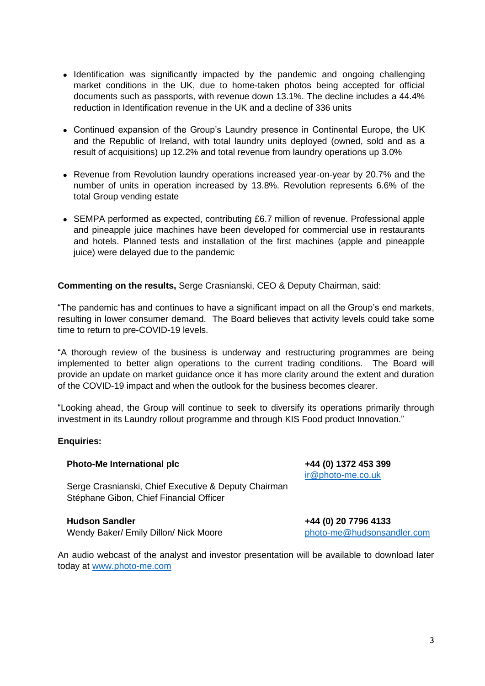- Identification was significantly impacted by the pandemic and ongoing challenging market conditions in the UK, due to home-taken photos being accepted for official documents such as passports, with revenue down 13.1%. The decline includes a 44.4% reduction in Identification revenue in the UK and a decline of 336 units
- Continued expansion of the Group's Laundry presence in Continental Europe, the UK and the Republic of Ireland, with total laundry units deployed (owned, sold and as a result of acquisitions) up 12.2% and total revenue from laundry operations up 3.0%
- Revenue from Revolution laundry operations increased year-on-year by 20.7% and the number of units in operation increased by 13.8%. Revolution represents 6.6% of the total Group vending estate
- SEMPA performed as expected, contributing £6.7 million of revenue. Professional apple and pineapple juice machines have been developed for commercial use in restaurants and hotels. Planned tests and installation of the first machines (apple and pineapple juice) were delayed due to the pandemic

**Commenting on the results,** Serge Crasnianski, CEO & Deputy Chairman, said:

"The pandemic has and continues to have a significant impact on all the Group's end markets, resulting in lower consumer demand. The Board believes that activity levels could take some time to return to pre-COVID-19 levels.

"A thorough review of the business is underway and restructuring programmes are being implemented to better align operations to the current trading conditions. The Board will provide an update on market guidance once it has more clarity around the extent and duration of the COVID-19 impact and when the outlook for the business becomes clearer.

"Looking ahead, the Group will continue to seek to diversify its operations primarily through investment in its Laundry rollout programme and through KIS Food product Innovation."

#### **Enquiries:**

#### **Photo-Me International plc +44 (0) 1372 453 399**

Serge Crasnianski, Chief Executive & Deputy Chairman Stéphane Gibon, Chief Financial Officer

## **Hudson Sandler +44 (0) 20 7796 4133**

Wendy Baker/ Emily Dillon/ Nick Moore [photo-me@hudsonsandler.com](mailto:photo-me@hudsonsandler.com)

[ir@photo-me.co.uk](mailto:ir@photo-me.co.uk)

An audio webcast of the analyst and investor presentation will be available to download later today at [www.photo-me.com](http://www.photo-me.com/)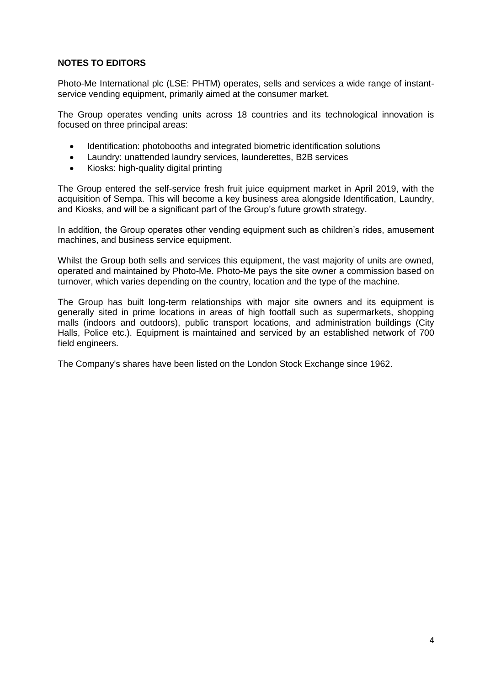# **NOTES TO EDITORS**

Photo-Me International plc (LSE: PHTM) operates, sells and services a wide range of instantservice vending equipment, primarily aimed at the consumer market.

The Group operates vending units across 18 countries and its technological innovation is focused on three principal areas:

- Identification: photobooths and integrated biometric identification solutions
- Laundry: unattended laundry services, launderettes, B2B services
- Kiosks: high-quality digital printing

The Group entered the self-service fresh fruit juice equipment market in April 2019, with the acquisition of Sempa. This will become a key business area alongside Identification, Laundry, and Kiosks, and will be a significant part of the Group's future growth strategy.

In addition, the Group operates other vending equipment such as children's rides, amusement machines, and business service equipment.

Whilst the Group both sells and services this equipment, the vast majority of units are owned, operated and maintained by Photo-Me. Photo-Me pays the site owner a commission based on turnover, which varies depending on the country, location and the type of the machine.

The Group has built long-term relationships with major site owners and its equipment is generally sited in prime locations in areas of high footfall such as supermarkets, shopping malls (indoors and outdoors), public transport locations, and administration buildings (City Halls, Police etc.). Equipment is maintained and serviced by an established network of 700 field engineers.

The Company's shares have been listed on the London Stock Exchange since 1962.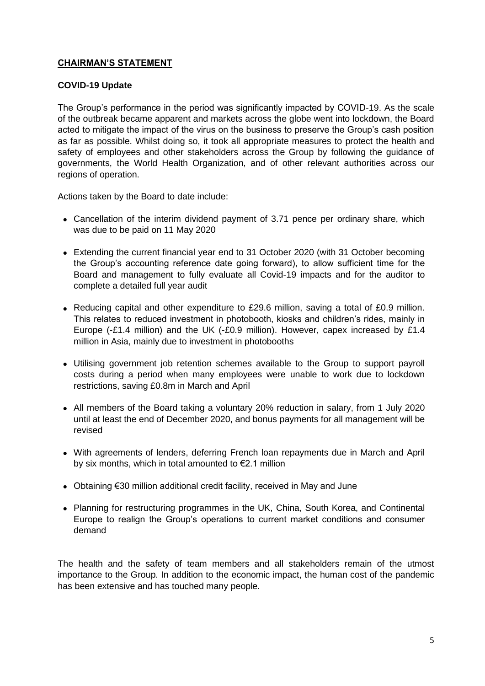# **CHAIRMAN'S STATEMENT**

# **COVID-19 Update**

The Group's performance in the period was significantly impacted by COVID-19. As the scale of the outbreak became apparent and markets across the globe went into lockdown, the Board acted to mitigate the impact of the virus on the business to preserve the Group's cash position as far as possible. Whilst doing so, it took all appropriate measures to protect the health and safety of employees and other stakeholders across the Group by following the guidance of governments, the World Health Organization, and of other relevant authorities across our regions of operation.

Actions taken by the Board to date include:

- Cancellation of the interim dividend payment of 3.71 pence per ordinary share, which was due to be paid on 11 May 2020
- Extending the current financial year end to 31 October 2020 (with 31 October becoming the Group's accounting reference date going forward), to allow sufficient time for the Board and management to fully evaluate all Covid-19 impacts and for the auditor to complete a detailed full year audit
- Reducing capital and other expenditure to £29.6 million, saving a total of £0.9 million. This relates to reduced investment in photobooth, kiosks and children's rides, mainly in Europe (-£1.4 million) and the UK (-£0.9 million). However, capex increased by £1.4 million in Asia, mainly due to investment in photobooths
- Utilising government job retention schemes available to the Group to support payroll costs during a period when many employees were unable to work due to lockdown restrictions, saving £0.8m in March and April
- All members of the Board taking a voluntary 20% reduction in salary, from 1 July 2020 until at least the end of December 2020, and bonus payments for all management will be revised
- With agreements of lenders, deferring French loan repayments due in March and April by six months, which in total amounted to €2.1 million
- Obtaining €30 million additional credit facility, received in May and June
- Planning for restructuring programmes in the UK, China, South Korea, and Continental Europe to realign the Group's operations to current market conditions and consumer demand

The health and the safety of team members and all stakeholders remain of the utmost importance to the Group. In addition to the economic impact, the human cost of the pandemic has been extensive and has touched many people.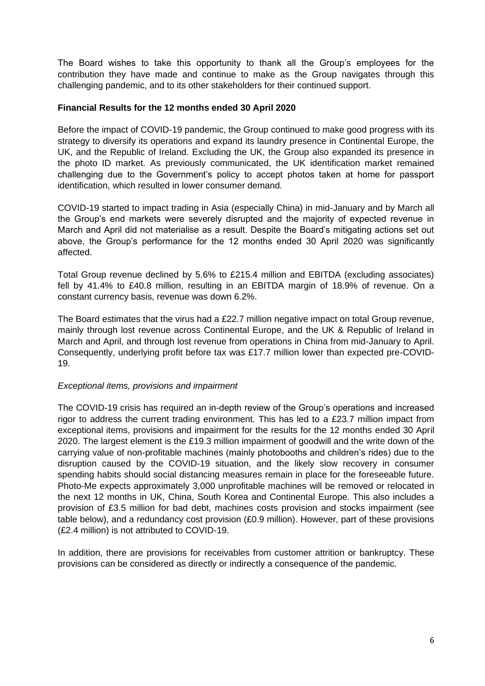The Board wishes to take this opportunity to thank all the Group's employees for the contribution they have made and continue to make as the Group navigates through this challenging pandemic, and to its other stakeholders for their continued support.

## **Financial Results for the 12 months ended 30 April 2020**

Before the impact of COVID-19 pandemic, the Group continued to make good progress with its strategy to diversify its operations and expand its laundry presence in Continental Europe, the UK, and the Republic of Ireland. Excluding the UK, the Group also expanded its presence in the photo ID market. As previously communicated, the UK identification market remained challenging due to the Government's policy to accept photos taken at home for passport identification, which resulted in lower consumer demand.

COVID-19 started to impact trading in Asia (especially China) in mid-January and by March all the Group's end markets were severely disrupted and the majority of expected revenue in March and April did not materialise as a result. Despite the Board's mitigating actions set out above, the Group's performance for the 12 months ended 30 April 2020 was significantly affected.

Total Group revenue declined by 5.6% to £215.4 million and EBITDA (excluding associates) fell by 41.4% to £40.8 million, resulting in an EBITDA margin of 18.9% of revenue. On a constant currency basis, revenue was down 6.2%.

The Board estimates that the virus had a £22.7 million negative impact on total Group revenue, mainly through lost revenue across Continental Europe, and the UK & Republic of Ireland in March and April, and through lost revenue from operations in China from mid-January to April. Consequently, underlying profit before tax was £17.7 million lower than expected pre-COVID-19.

## *Exceptional items, provisions and impairment*

The COVID-19 crisis has required an in-depth review of the Group's operations and increased rigor to address the current trading environment. This has led to a £23.7 million impact from exceptional items, provisions and impairment for the results for the 12 months ended 30 April 2020. The largest element is the £19.3 million impairment of goodwill and the write down of the carrying value of non-profitable machines (mainly photobooths and children's rides) due to the disruption caused by the COVID-19 situation, and the likely slow recovery in consumer spending habits should social distancing measures remain in place for the foreseeable future. Photo-Me expects approximately 3,000 unprofitable machines will be removed or relocated in the next 12 months in UK, China, South Korea and Continental Europe. This also includes a provision of £3.5 million for bad debt, machines costs provision and stocks impairment (see table below), and a redundancy cost provision (£0.9 million). However, part of these provisions (£2.4 million) is not attributed to COVID-19.

In addition, there are provisions for receivables from customer attrition or bankruptcy. These provisions can be considered as directly or indirectly a consequence of the pandemic.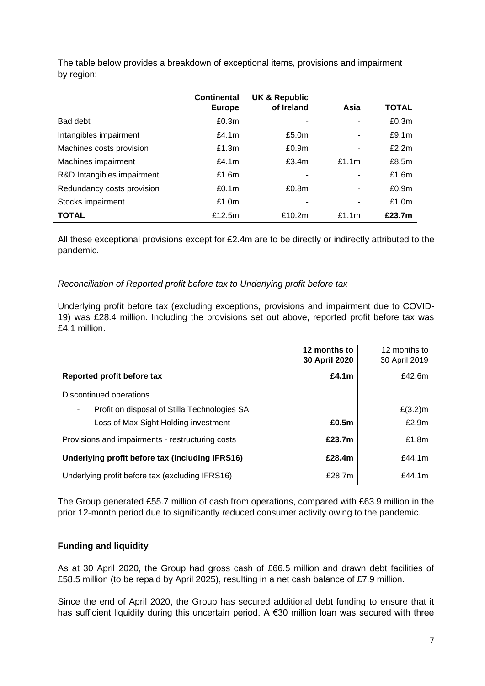|                            | <b>Continental</b> | <b>UK &amp; Republic</b> |          |                   |
|----------------------------|--------------------|--------------------------|----------|-------------------|
|                            | <b>Europe</b>      | of Ireland               | Asia     | <b>TOTAL</b>      |
| Bad debt                   | £0.3m              |                          | ٠        | £0.3m             |
| Intangibles impairment     | £4.1 $m$           | £5.0 <sub>m</sub>        | ۰        | £9.1m             |
| Machines costs provision   | £1.3m              | £0.9 <sub>m</sub>        | ۰        | £2.2m             |
| Machines impairment        | £4.1 $m$           | f3.4m                    | £1.1m    | £8.5m             |
| R&D Intangibles impairment | £1.6m              |                          |          | £1.6m             |
| Redundancy costs provision | £0.1 $m$           | £0.8 <sub>m</sub>        |          | £0.9 <sub>m</sub> |
| Stocks impairment          | £1.0m              |                          | ۰        | £1.0m             |
| <b>TOTAL</b>               | £12.5m             | £10.2m                   | £1.1 $m$ | £23.7m            |

The table below provides a breakdown of exceptional items, provisions and impairment by region:

All these exceptional provisions except for £2.4m are to be directly or indirectly attributed to the pandemic.

# *Reconciliation of Reported profit before tax to Underlying profit before tax*

Underlying profit before tax (excluding exceptions, provisions and impairment due to COVID-19) was £28.4 million. Including the provisions set out above, reported profit before tax was £4.1 million.

|                                                    | 12 months to<br>30 April 2020 | 12 months to<br>30 April 2019 |
|----------------------------------------------------|-------------------------------|-------------------------------|
| Reported profit before tax                         | £4.1 $m$                      | £42.6m                        |
| Discontinued operations                            |                               |                               |
| Profit on disposal of Stilla Technologies SA<br>۰. |                               | $£(3.2)$ m                    |
| Loss of Max Sight Holding investment<br>٠          | £0.5m                         | £2.9m                         |
| Provisions and impairments - restructuring costs   | £23.7m                        | £1.8m                         |
| Underlying profit before tax (including IFRS16)    | £28.4m                        | £44.1 $m$                     |
| Underlying profit before tax (excluding IFRS16)    | £28.7m                        | £44.1 $m$                     |

The Group generated £55.7 million of cash from operations, compared with £63.9 million in the prior 12-month period due to significantly reduced consumer activity owing to the pandemic.

# **Funding and liquidity**

As at 30 April 2020, the Group had gross cash of £66.5 million and drawn debt facilities of £58.5 million (to be repaid by April 2025), resulting in a net cash balance of £7.9 million.

Since the end of April 2020, the Group has secured additional debt funding to ensure that it has sufficient liquidity during this uncertain period. A €30 million loan was secured with three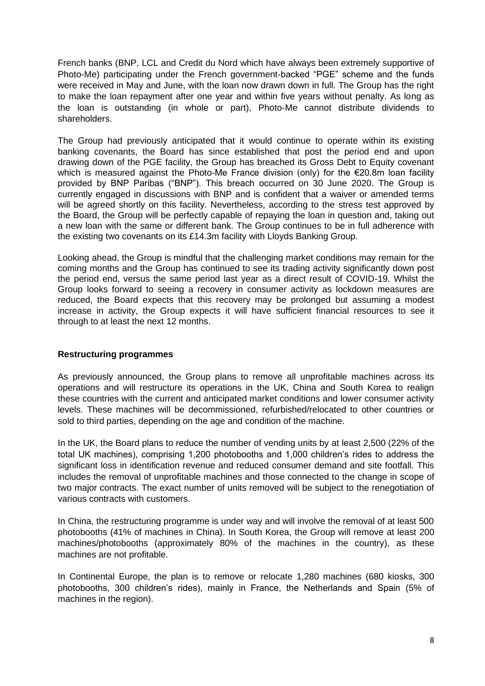French banks (BNP, LCL and Credit du Nord which have always been extremely supportive of Photo-Me) participating under the French government-backed "PGE" scheme and the funds were received in May and June, with the loan now drawn down in full. The Group has the right to make the loan repayment after one year and within five years without penalty. As long as the loan is outstanding (in whole or part), Photo-Me cannot distribute dividends to shareholders.

The Group had previously anticipated that it would continue to operate within its existing banking covenants, the Board has since established that post the period end and upon drawing down of the PGE facility, the Group has breached its Gross Debt to Equity covenant which is measured against the Photo-Me France division (only) for the €20.8m loan facility provided by BNP Paribas ("BNP"). This breach occurred on 30 June 2020. The Group is currently engaged in discussions with BNP and is confident that a waiver or amended terms will be agreed shortly on this facility. Nevertheless, according to the stress test approved by the Board, the Group will be perfectly capable of repaying the loan in question and, taking out a new loan with the same or different bank. The Group continues to be in full adherence with the existing two covenants on its £14.3m facility with Lloyds Banking Group.

Looking ahead, the Group is mindful that the challenging market conditions may remain for the coming months and the Group has continued to see its trading activity significantly down post the period end, versus the same period last year as a direct result of COVID-19. Whilst the Group looks forward to seeing a recovery in consumer activity as lockdown measures are reduced, the Board expects that this recovery may be prolonged but assuming a modest increase in activity, the Group expects it will have sufficient financial resources to see it through to at least the next 12 months.

## **Restructuring programmes**

As previously announced, the Group plans to remove all unprofitable machines across its operations and will restructure its operations in the UK, China and South Korea to realign these countries with the current and anticipated market conditions and lower consumer activity levels. These machines will be decommissioned, refurbished/relocated to other countries or sold to third parties, depending on the age and condition of the machine.

In the UK, the Board plans to reduce the number of vending units by at least 2,500 (22% of the total UK machines), comprising 1,200 photobooths and 1,000 children's rides to address the significant loss in identification revenue and reduced consumer demand and site footfall. This includes the removal of unprofitable machines and those connected to the change in scope of two major contracts. The exact number of units removed will be subject to the renegotiation of various contracts with customers.

In China, the restructuring programme is under way and will involve the removal of at least 500 photobooths (41% of machines in China). In South Korea, the Group will remove at least 200 machines/photobooths (approximately 80% of the machines in the country), as these machines are not profitable.

In Continental Europe, the plan is to remove or relocate 1,280 machines (680 kiosks, 300 photobooths, 300 children's rides), mainly in France, the Netherlands and Spain (5% of machines in the region).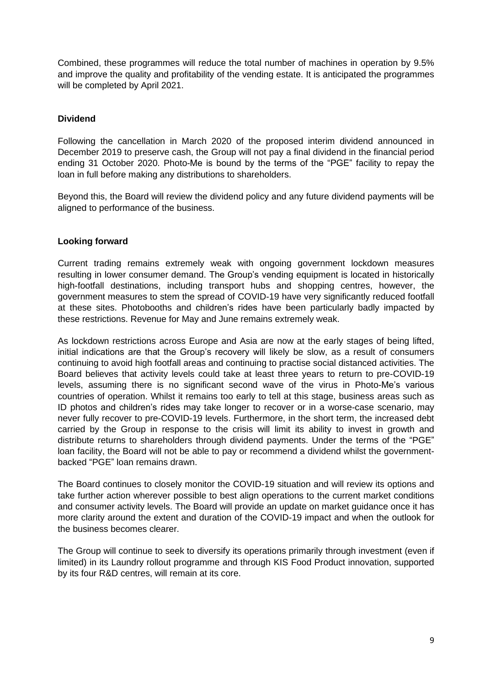Combined, these programmes will reduce the total number of machines in operation by 9.5% and improve the quality and profitability of the vending estate. It is anticipated the programmes will be completed by April 2021.

# **Dividend**

Following the cancellation in March 2020 of the proposed interim dividend announced in December 2019 to preserve cash, the Group will not pay a final dividend in the financial period ending 31 October 2020. Photo-Me is bound by the terms of the "PGE" facility to repay the loan in full before making any distributions to shareholders.

Beyond this, the Board will review the dividend policy and any future dividend payments will be aligned to performance of the business.

## **Looking forward**

Current trading remains extremely weak with ongoing government lockdown measures resulting in lower consumer demand. The Group's vending equipment is located in historically high-footfall destinations, including transport hubs and shopping centres, however, the government measures to stem the spread of COVID-19 have very significantly reduced footfall at these sites. Photobooths and children's rides have been particularly badly impacted by these restrictions. Revenue for May and June remains extremely weak.

As lockdown restrictions across Europe and Asia are now at the early stages of being lifted, initial indications are that the Group's recovery will likely be slow, as a result of consumers continuing to avoid high footfall areas and continuing to practise social distanced activities. The Board believes that activity levels could take at least three years to return to pre-COVID-19 levels, assuming there is no significant second wave of the virus in Photo-Me's various countries of operation. Whilst it remains too early to tell at this stage, business areas such as ID photos and children's rides may take longer to recover or in a worse-case scenario, may never fully recover to pre-COVID-19 levels. Furthermore, in the short term, the increased debt carried by the Group in response to the crisis will limit its ability to invest in growth and distribute returns to shareholders through dividend payments. Under the terms of the "PGE" loan facility, the Board will not be able to pay or recommend a dividend whilst the governmentbacked "PGE" loan remains drawn.

The Board continues to closely monitor the COVID-19 situation and will review its options and take further action wherever possible to best align operations to the current market conditions and consumer activity levels. The Board will provide an update on market guidance once it has more clarity around the extent and duration of the COVID-19 impact and when the outlook for the business becomes clearer.

The Group will continue to seek to diversify its operations primarily through investment (even if limited) in its Laundry rollout programme and through KIS Food Product innovation, supported by its four R&D centres, will remain at its core.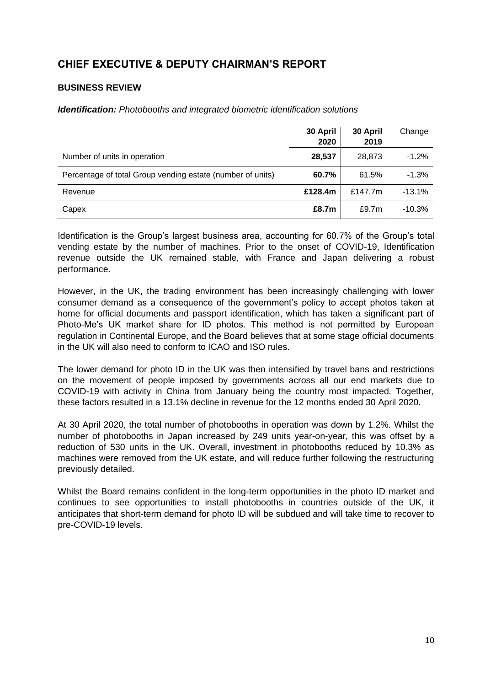# **CHIEF EXECUTIVE & DEPUTY CHAIRMAN'S REPORT**

# **BUSINESS REVIEW**

*Identification: Photobooths and integrated biometric identification solutions*

|                                                            | 30 April<br>2020 | 30 April<br>2019 | Change   |
|------------------------------------------------------------|------------------|------------------|----------|
| Number of units in operation                               | 28,537           | 28,873           | $-1.2%$  |
| Percentage of total Group vending estate (number of units) | 60.7%            | 61.5%            | $-1.3%$  |
| Revenue                                                    | £128.4m          | £147.7m          | $-13.1%$ |
| Capex                                                      | £8.7m            | £9.7m            | $-10.3%$ |

Identification is the Group's largest business area, accounting for 60.7% of the Group's total vending estate by the number of machines. Prior to the onset of COVID-19, Identification revenue outside the UK remained stable, with France and Japan delivering a robust performance.

However, in the UK, the trading environment has been increasingly challenging with lower consumer demand as a consequence of the government's policy to accept photos taken at home for official documents and passport identification, which has taken a significant part of Photo-Me's UK market share for ID photos. This method is not permitted by European regulation in Continental Europe, and the Board believes that at some stage official documents in the UK will also need to conform to ICAO and ISO rules.

The lower demand for photo ID in the UK was then intensified by travel bans and restrictions on the movement of people imposed by governments across all our end markets due to COVID-19 with activity in China from January being the country most impacted. Together, these factors resulted in a 13.1% decline in revenue for the 12 months ended 30 April 2020.

At 30 April 2020, the total number of photobooths in operation was down by 1.2%. Whilst the number of photobooths in Japan increased by 249 units year-on-year, this was offset by a reduction of 530 units in the UK. Overall, investment in photobooths reduced by 10.3% as machines were removed from the UK estate, and will reduce further following the restructuring previously detailed.

Whilst the Board remains confident in the long-term opportunities in the photo ID market and continues to see opportunities to install photobooths in countries outside of the UK, it anticipates that short-term demand for photo ID will be subdued and will take time to recover to pre-COVID-19 levels.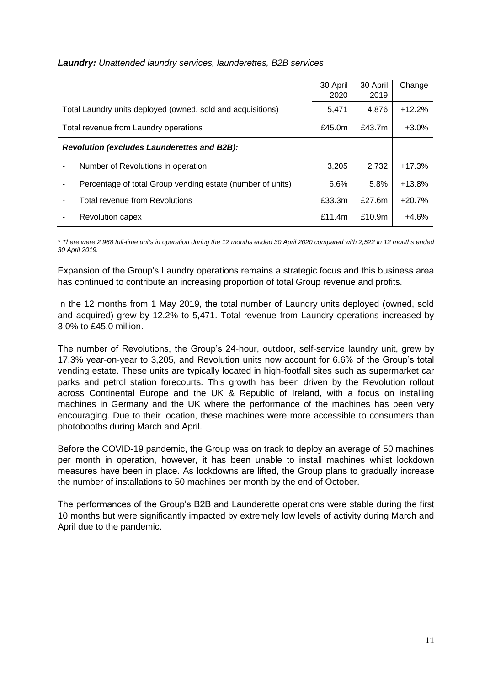| <b>Laundry:</b> Unattended laundry services, launderettes, B2B services |  |  |  |
|-------------------------------------------------------------------------|--|--|--|
|-------------------------------------------------------------------------|--|--|--|

|                                       |                                                             | 30 April<br>2020 | 30 April<br>2019 | Change   |
|---------------------------------------|-------------------------------------------------------------|------------------|------------------|----------|
|                                       | Total Laundry units deployed (owned, sold and acquisitions) | 5,471            | 4,876            | $+12.2%$ |
| Total revenue from Laundry operations |                                                             |                  | £43.7m           | $+3.0%$  |
|                                       | <b>Revolution (excludes Launderettes and B2B):</b>          |                  |                  |          |
|                                       | Number of Revolutions in operation                          | 3.205            | 2,732            | $+17.3%$ |
|                                       | Percentage of total Group vending estate (number of units)  | 6.6%             | 5.8%             | $+13.8%$ |
|                                       | Total revenue from Revolutions                              | £33.3m           | £27.6m           | $+20.7%$ |
|                                       | Revolution capex                                            | £11.4m           | £10.9m           | $+4.6%$  |

*\* There were 2,968 full-time units in operation during the 12 months ended 30 April 2020 compared with 2,522 in 12 months ended 30 April 2019.*

Expansion of the Group's Laundry operations remains a strategic focus and this business area has continued to contribute an increasing proportion of total Group revenue and profits.

In the 12 months from 1 May 2019, the total number of Laundry units deployed (owned, sold and acquired) grew by 12.2% to 5,471. Total revenue from Laundry operations increased by 3.0% to £45.0 million.

The number of Revolutions, the Group's 24-hour, outdoor, self-service laundry unit, grew by 17.3% year-on-year to 3,205, and Revolution units now account for 6.6% of the Group's total vending estate. These units are typically located in high-footfall sites such as supermarket car parks and petrol station forecourts. This growth has been driven by the Revolution rollout across Continental Europe and the UK & Republic of Ireland, with a focus on installing machines in Germany and the UK where the performance of the machines has been very encouraging. Due to their location, these machines were more accessible to consumers than photobooths during March and April.

Before the COVID-19 pandemic, the Group was on track to deploy an average of 50 machines per month in operation, however, it has been unable to install machines whilst lockdown measures have been in place. As lockdowns are lifted, the Group plans to gradually increase the number of installations to 50 machines per month by the end of October.

The performances of the Group's B2B and Launderette operations were stable during the first 10 months but were significantly impacted by extremely low levels of activity during March and April due to the pandemic.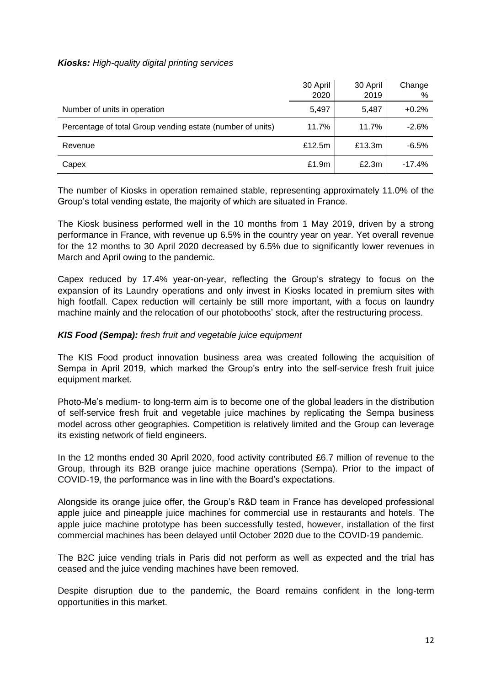## *Kiosks: High-quality digital printing services*

|                                                            | 30 April<br>2020 | 30 April<br>2019 | Change<br>% |
|------------------------------------------------------------|------------------|------------------|-------------|
| Number of units in operation                               | 5,497            | 5,487            | $+0.2%$     |
| Percentage of total Group vending estate (number of units) | 11.7%            | 11.7%            | $-2.6%$     |
| Revenue                                                    | £12.5m           | £13.3m           | $-6.5%$     |
| Capex                                                      | £1.9m            | £2.3m            | $-17.4%$    |

The number of Kiosks in operation remained stable, representing approximately 11.0% of the Group's total vending estate, the majority of which are situated in France.

The Kiosk business performed well in the 10 months from 1 May 2019, driven by a strong performance in France, with revenue up 6.5% in the country year on year. Yet overall revenue for the 12 months to 30 April 2020 decreased by 6.5% due to significantly lower revenues in March and April owing to the pandemic.

Capex reduced by 17.4% year-on-year, reflecting the Group's strategy to focus on the expansion of its Laundry operations and only invest in Kiosks located in premium sites with high footfall. Capex reduction will certainly be still more important, with a focus on laundry machine mainly and the relocation of our photobooths' stock, after the restructuring process.

## *KIS Food (Sempa): fresh fruit and vegetable juice equipment*

The KIS Food product innovation business area was created following the acquisition of Sempa in April 2019, which marked the Group's entry into the self-service fresh fruit juice equipment market.

Photo-Me's medium- to long-term aim is to become one of the global leaders in the distribution of self-service fresh fruit and vegetable juice machines by replicating the Sempa business model across other geographies. Competition is relatively limited and the Group can leverage its existing network of field engineers.

In the 12 months ended 30 April 2020, food activity contributed £6.7 million of revenue to the Group, through its B2B orange juice machine operations (Sempa). Prior to the impact of COVID-19, the performance was in line with the Board's expectations.

Alongside its orange juice offer, the Group's R&D team in France has developed professional apple juice and pineapple juice machines for commercial use in restaurants and hotels. The apple juice machine prototype has been successfully tested, however, installation of the first commercial machines has been delayed until October 2020 due to the COVID-19 pandemic.

The B2C juice vending trials in Paris did not perform as well as expected and the trial has ceased and the juice vending machines have been removed.

Despite disruption due to the pandemic, the Board remains confident in the long-term opportunities in this market.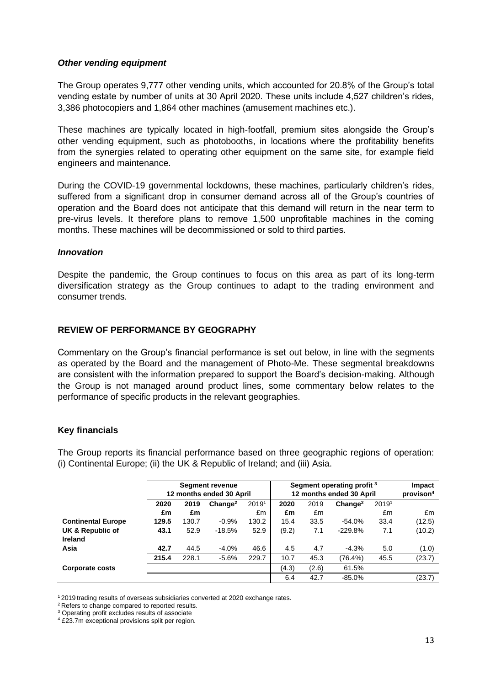## *Other vending equipment*

The Group operates 9,777 other vending units, which accounted for 20.8% of the Group's total vending estate by number of units at 30 April 2020. These units include 4,527 children's rides, 3,386 photocopiers and 1,864 other machines (amusement machines etc.).

These machines are typically located in high-footfall, premium sites alongside the Group's other vending equipment, such as photobooths, in locations where the profitability benefits from the synergies related to operating other equipment on the same site, for example field engineers and maintenance.

During the COVID-19 governmental lockdowns, these machines, particularly children's rides, suffered from a significant drop in consumer demand across all of the Group's countries of operation and the Board does not anticipate that this demand will return in the near term to pre-virus levels. It therefore plans to remove 1,500 unprofitable machines in the coming months. These machines will be decommissioned or sold to third parties.

#### *Innovation*

Despite the pandemic, the Group continues to focus on this area as part of its long-term diversification strategy as the Group continues to adapt to the trading environment and consumer trends.

# **REVIEW OF PERFORMANCE BY GEOGRAPHY**

Commentary on the Group's financial performance is set out below, in line with the segments as operated by the Board and the management of Photo-Me. These segmental breakdowns are consistent with the information prepared to support the Board's decision-making. Although the Group is not managed around product lines, some commentary below relates to the performance of specific products in the relevant geographies.

#### **Key financials**

The Group reports its financial performance based on three geographic regions of operation: (i) Continental Europe; (ii) the UK & Republic of Ireland; and (iii) Asia.

|                             | <b>Segment revenue</b><br>12 months ended 30 April |       |                     | Segment operating profit <sup>3</sup><br>12 months ended 30 April |       |       |                     | Impact<br>provison <sup>4</sup> |        |
|-----------------------------|----------------------------------------------------|-------|---------------------|-------------------------------------------------------------------|-------|-------|---------------------|---------------------------------|--------|
|                             | 2020                                               | 2019  | Change <sup>2</sup> | 20191                                                             | 2020  | 2019  | Change <sup>2</sup> | 20191                           |        |
|                             | £m                                                 | £m    |                     | £m                                                                | £m    | £m    |                     | £m                              | £m     |
| <b>Continental Europe</b>   | 129.5                                              | 130.7 | $-0.9%$             | 130.2                                                             | 15.4  | 33.5  | $-54.0%$            | 33.4                            | (12.5) |
| UK & Republic of<br>Ireland | 43.1                                               | 52.9  | $-18.5%$            | 52.9                                                              | (9.2) | 7.1   | $-229.8%$           | 7.1                             | (10.2) |
| Asia                        | 42.7                                               | 44.5  | $-4.0%$             | 46.6                                                              | 4.5   | 4.7   | $-4.3%$             | 5.0                             | (1.0)  |
|                             | 215.4                                              | 228.1 | $-5.6%$             | 229.7                                                             | 10.7  | 45.3  | (76.4%)             | 45.5                            | (23.7) |
| <b>Corporate costs</b>      |                                                    |       |                     |                                                                   | (4.3) | (2.6) | 61.5%               |                                 |        |
|                             |                                                    |       |                     |                                                                   | 6.4   | 42.7  | $-85.0%$            |                                 | (23.7) |

<sup>&</sup>lt;sup>1</sup> 2019 trading results of overseas subsidiaries converted at 2020 exchange rates.

<sup>&</sup>lt;sup>2</sup> Refers to change compared to reported results.

<sup>&</sup>lt;sup>3</sup> Operating profit excludes results of associate

<sup>4</sup> £23.7m exceptional provisions split per region.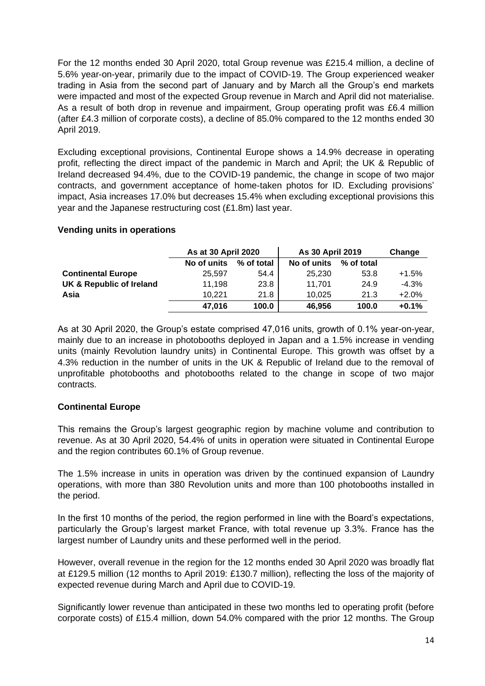For the 12 months ended 30 April 2020, total Group revenue was £215.4 million, a decline of 5.6% year-on-year, primarily due to the impact of COVID-19. The Group experienced weaker trading in Asia from the second part of January and by March all the Group's end markets were impacted and most of the expected Group revenue in March and April did not materialise. As a result of both drop in revenue and impairment, Group operating profit was £6.4 million (after £4.3 million of corporate costs), a decline of 85.0% compared to the 12 months ended 30 April 2019.

Excluding exceptional provisions, Continental Europe shows a 14.9% decrease in operating profit, reflecting the direct impact of the pandemic in March and April; the UK & Republic of Ireland decreased 94.4%, due to the COVID-19 pandemic, the change in scope of two major contracts, and government acceptance of home-taken photos for ID. Excluding provisions' impact, Asia increases 17.0% but decreases 15.4% when excluding exceptional provisions this year and the Japanese restructuring cost (£1.8m) last year.

# **Vending units in operations**

|                           | As at 30 April 2020 |            | As 30 April 2019 | Change     |         |
|---------------------------|---------------------|------------|------------------|------------|---------|
|                           | No of units         | % of total | No of units      | % of total |         |
| <b>Continental Europe</b> | 25.597              | 54.4       | 25.230           | 53.8       | $+1.5%$ |
| UK & Republic of Ireland  | 11.198              | 23.8       | 11.701           | 24.9       | $-4.3%$ |
| Asia                      | 10.221              | 21.8       | 10.025           | 21.3       | $+2.0%$ |
|                           | 47.016              | 100.0      | 46.956           | 100.0      | $+0.1%$ |

As at 30 April 2020, the Group's estate comprised 47,016 units, growth of 0.1% year-on-year, mainly due to an increase in photobooths deployed in Japan and a 1.5% increase in vending units (mainly Revolution laundry units) in Continental Europe. This growth was offset by a 4.3% reduction in the number of units in the UK & Republic of Ireland due to the removal of unprofitable photobooths and photobooths related to the change in scope of two major contracts.

# **Continental Europe**

This remains the Group's largest geographic region by machine volume and contribution to revenue. As at 30 April 2020, 54.4% of units in operation were situated in Continental Europe and the region contributes 60.1% of Group revenue.

The 1.5% increase in units in operation was driven by the continued expansion of Laundry operations, with more than 380 Revolution units and more than 100 photobooths installed in the period.

In the first 10 months of the period, the region performed in line with the Board's expectations, particularly the Group's largest market France, with total revenue up 3.3%. France has the largest number of Laundry units and these performed well in the period.

However, overall revenue in the region for the 12 months ended 30 April 2020 was broadly flat at £129.5 million (12 months to April 2019: £130.7 million), reflecting the loss of the majority of expected revenue during March and April due to COVID-19.

Significantly lower revenue than anticipated in these two months led to operating profit (before corporate costs) of £15.4 million, down 54.0% compared with the prior 12 months. The Group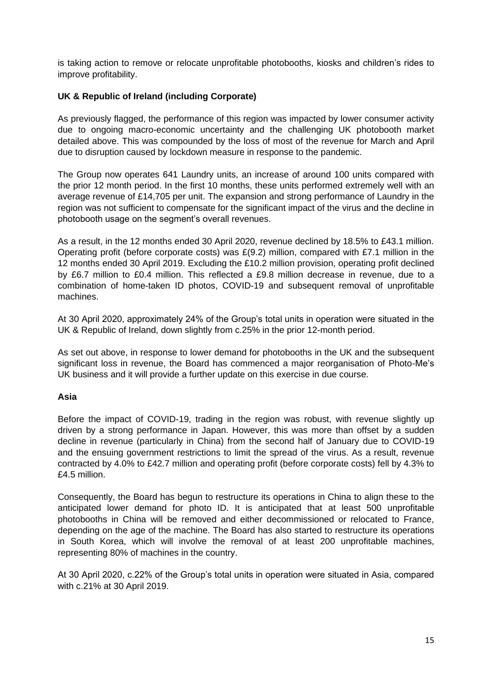is taking action to remove or relocate unprofitable photobooths, kiosks and children's rides to improve profitability.

# **UK & Republic of Ireland (including Corporate)**

As previously flagged, the performance of this region was impacted by lower consumer activity due to ongoing macro-economic uncertainty and the challenging UK photobooth market detailed above. This was compounded by the loss of most of the revenue for March and April due to disruption caused by lockdown measure in response to the pandemic.

The Group now operates 641 Laundry units, an increase of around 100 units compared with the prior 12 month period. In the first 10 months, these units performed extremely well with an average revenue of £14,705 per unit. The expansion and strong performance of Laundry in the region was not sufficient to compensate for the significant impact of the virus and the decline in photobooth usage on the segment's overall revenues.

As a result, in the 12 months ended 30 April 2020, revenue declined by 18.5% to £43.1 million. Operating profit (before corporate costs) was £(9.2) million, compared with £7.1 million in the 12 months ended 30 April 2019. Excluding the £10.2 million provision, operating profit declined by £6.7 million to £0.4 million. This reflected a £9.8 million decrease in revenue, due to a combination of home-taken ID photos, COVID-19 and subsequent removal of unprofitable machines.

At 30 April 2020, approximately 24% of the Group's total units in operation were situated in the UK & Republic of Ireland, down slightly from c.25% in the prior 12-month period.

As set out above, in response to lower demand for photobooths in the UK and the subsequent significant loss in revenue, the Board has commenced a major reorganisation of Photo-Me's UK business and it will provide a further update on this exercise in due course.

## **Asia**

Before the impact of COVID-19, trading in the region was robust, with revenue slightly up driven by a strong performance in Japan. However, this was more than offset by a sudden decline in revenue (particularly in China) from the second half of January due to COVID-19 and the ensuing government restrictions to limit the spread of the virus. As a result, revenue contracted by 4.0% to £42.7 million and operating profit (before corporate costs) fell by 4.3% to £4.5 million.

Consequently, the Board has begun to restructure its operations in China to align these to the anticipated lower demand for photo ID. It is anticipated that at least 500 unprofitable photobooths in China will be removed and either decommissioned or relocated to France, depending on the age of the machine. The Board has also started to restructure its operations in South Korea, which will involve the removal of at least 200 unprofitable machines, representing 80% of machines in the country.

At 30 April 2020, c.22% of the Group's total units in operation were situated in Asia, compared with c.21% at 30 April 2019.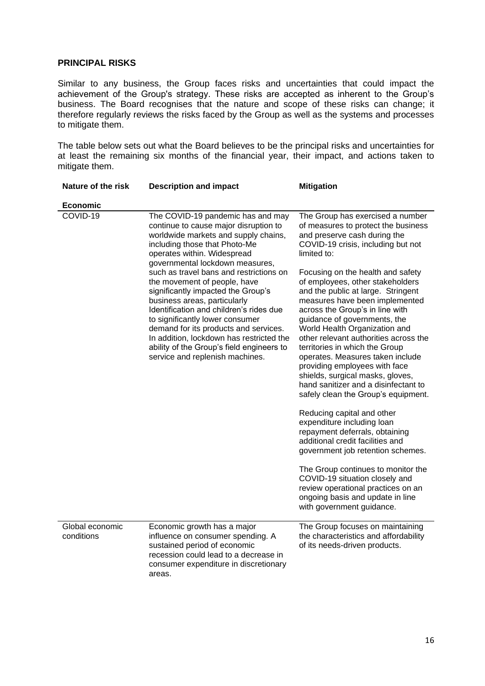#### **PRINCIPAL RISKS**

Similar to any business, the Group faces risks and uncertainties that could impact the achievement of the Group's strategy. These risks are accepted as inherent to the Group's business. The Board recognises that the nature and scope of these risks can change; it therefore regularly reviews the risks faced by the Group as well as the systems and processes to mitigate them.

The table below sets out what the Board believes to be the principal risks and uncertainties for at least the remaining six months of the financial year, their impact, and actions taken to mitigate them.

| Nature of the risk            | <b>Description and impact</b>                                                                                                                                                                                                                                                                                                                                                                    | <b>Mitigation</b>                                                                                                                                                                                                                                                                                                                                                                                                                                                                                                                                                                                                                                      |
|-------------------------------|--------------------------------------------------------------------------------------------------------------------------------------------------------------------------------------------------------------------------------------------------------------------------------------------------------------------------------------------------------------------------------------------------|--------------------------------------------------------------------------------------------------------------------------------------------------------------------------------------------------------------------------------------------------------------------------------------------------------------------------------------------------------------------------------------------------------------------------------------------------------------------------------------------------------------------------------------------------------------------------------------------------------------------------------------------------------|
| <b>Economic</b>               |                                                                                                                                                                                                                                                                                                                                                                                                  |                                                                                                                                                                                                                                                                                                                                                                                                                                                                                                                                                                                                                                                        |
| COVID-19                      | The COVID-19 pandemic has and may<br>continue to cause major disruption to<br>worldwide markets and supply chains,<br>including those that Photo-Me<br>operates within. Widespread<br>governmental lockdown measures,                                                                                                                                                                            | The Group has exercised a number<br>of measures to protect the business<br>and preserve cash during the<br>COVID-19 crisis, including but not<br>limited to:                                                                                                                                                                                                                                                                                                                                                                                                                                                                                           |
|                               | such as travel bans and restrictions on<br>the movement of people, have<br>significantly impacted the Group's<br>business areas, particularly<br>Identification and children's rides due<br>to significantly lower consumer<br>demand for its products and services.<br>In addition, lockdown has restricted the<br>ability of the Group's field engineers to<br>service and replenish machines. | Focusing on the health and safety<br>of employees, other stakeholders<br>and the public at large. Stringent<br>measures have been implemented<br>across the Group's in line with<br>guidance of governments, the<br>World Health Organization and<br>other relevant authorities across the<br>territories in which the Group<br>operates. Measures taken include<br>providing employees with face<br>shields, surgical masks, gloves,<br>hand sanitizer and a disinfectant to<br>safely clean the Group's equipment.<br>Reducing capital and other<br>expenditure including loan<br>repayment deferrals, obtaining<br>additional credit facilities and |
|                               |                                                                                                                                                                                                                                                                                                                                                                                                  | government job retention schemes.<br>The Group continues to monitor the<br>COVID-19 situation closely and<br>review operational practices on an<br>ongoing basis and update in line                                                                                                                                                                                                                                                                                                                                                                                                                                                                    |
|                               |                                                                                                                                                                                                                                                                                                                                                                                                  | with government guidance.                                                                                                                                                                                                                                                                                                                                                                                                                                                                                                                                                                                                                              |
| Global economic<br>conditions | Economic growth has a major<br>influence on consumer spending. A<br>sustained period of economic<br>recession could lead to a decrease in<br>consumer expenditure in discretionary<br>areas.                                                                                                                                                                                                     | The Group focuses on maintaining<br>the characteristics and affordability<br>of its needs-driven products.                                                                                                                                                                                                                                                                                                                                                                                                                                                                                                                                             |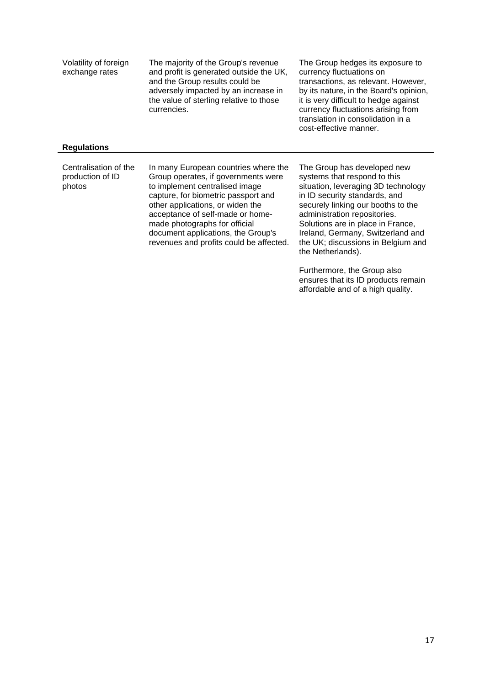| Volatility of foreign<br>exchange rates<br><b>Regulations</b> | The majority of the Group's revenue<br>and profit is generated outside the UK,<br>and the Group results could be<br>adversely impacted by an increase in<br>the value of sterling relative to those<br>currencies.                                                                                                                             | The Group hedges its exposure to<br>currency fluctuations on<br>transactions, as relevant. However,<br>by its nature, in the Board's opinion,<br>it is very difficult to hedge against<br>currency fluctuations arising from<br>translation in consolidation in a<br>cost-effective manner.                                                    |
|---------------------------------------------------------------|------------------------------------------------------------------------------------------------------------------------------------------------------------------------------------------------------------------------------------------------------------------------------------------------------------------------------------------------|------------------------------------------------------------------------------------------------------------------------------------------------------------------------------------------------------------------------------------------------------------------------------------------------------------------------------------------------|
|                                                               |                                                                                                                                                                                                                                                                                                                                                |                                                                                                                                                                                                                                                                                                                                                |
| Centralisation of the<br>production of ID<br>photos           | In many European countries where the<br>Group operates, if governments were<br>to implement centralised image<br>capture, for biometric passport and<br>other applications, or widen the<br>acceptance of self-made or home-<br>made photographs for official<br>document applications, the Group's<br>revenues and profits could be affected. | The Group has developed new<br>systems that respond to this<br>situation, leveraging 3D technology<br>in ID security standards, and<br>securely linking our booths to the<br>administration repositories.<br>Solutions are in place in France,<br>Ireland, Germany, Switzerland and<br>the UK; discussions in Belgium and<br>the Netherlands). |
|                                                               |                                                                                                                                                                                                                                                                                                                                                | Furthermore, the Group also                                                                                                                                                                                                                                                                                                                    |

ensures that its ID products remain affordable and of a high quality.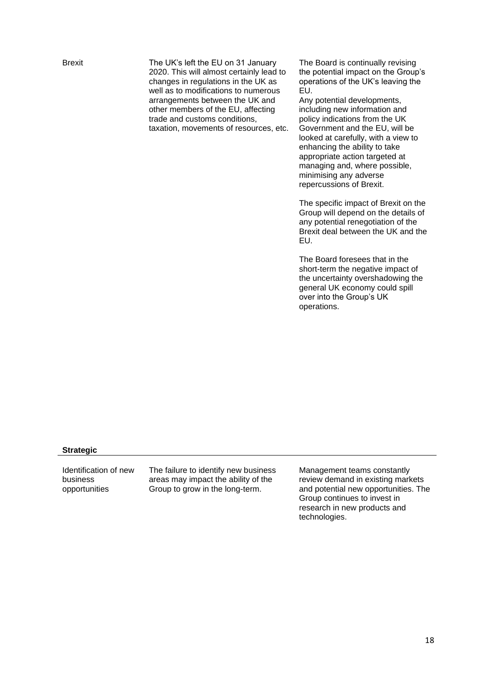Brexit The UK's left the EU on 31 January 2020. This will almost certainly lead to changes in regulations in the UK as well as to modifications to numerous arrangements between the UK and other members of the EU, affecting trade and customs conditions, taxation, movements of resources, etc. The Board is continually revising the potential impact on the Group's operations of the UK's leaving the EU.

Any potential developments, including new information and policy indications from the UK Government and the EU, will be looked at carefully, with a view to enhancing the ability to take appropriate action targeted at managing and, where possible, minimising any adverse repercussions of Brexit.

The specific impact of Brexit on the Group will depend on the details of any potential renegotiation of the Brexit deal between the UK and the EU.

The Board foresees that in the short-term the negative impact of the uncertainty overshadowing the general UK economy could spill over into the Group's UK operations.

#### **Strategic**

Identification of new business opportunities

The failure to identify new business areas may impact the ability of the Group to grow in the long-term.

Management teams constantly review demand in existing markets and potential new opportunities. The Group continues to invest in research in new products and technologies.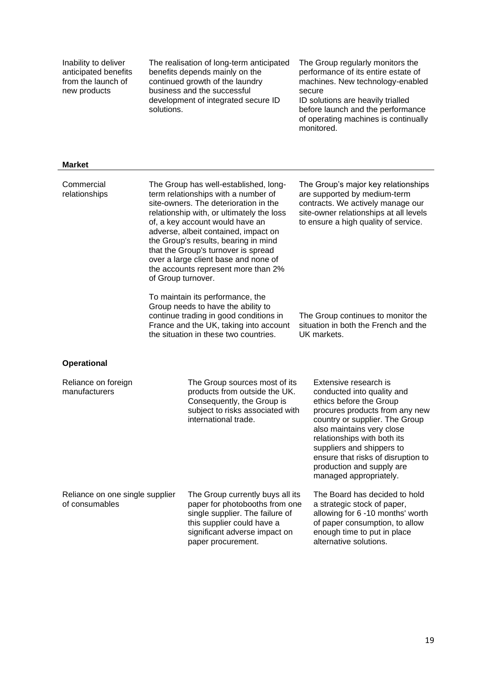| Inability to deliver<br>anticipated benefits<br>from the launch of<br>new products<br><b>Market</b> | solutions.         | The realisation of long-term anticipated<br>benefits depends mainly on the<br>continued growth of the laundry<br>business and the successful<br>development of integrated secure ID                                                                                                                                                                                                                         | The Group regularly monitors the<br>performance of its entire estate of<br>machines. New technology-enabled<br>secure<br>ID solutions are heavily trialled<br>before launch and the performance<br>of operating machines is continually<br>monitored.                                                                                    |
|-----------------------------------------------------------------------------------------------------|--------------------|-------------------------------------------------------------------------------------------------------------------------------------------------------------------------------------------------------------------------------------------------------------------------------------------------------------------------------------------------------------------------------------------------------------|------------------------------------------------------------------------------------------------------------------------------------------------------------------------------------------------------------------------------------------------------------------------------------------------------------------------------------------|
|                                                                                                     |                    |                                                                                                                                                                                                                                                                                                                                                                                                             |                                                                                                                                                                                                                                                                                                                                          |
| Commercial<br>relationships                                                                         | of Group turnover. | The Group has well-established, long-<br>term relationships with a number of<br>site-owners. The deterioration in the<br>relationship with, or ultimately the loss<br>of, a key account would have an<br>adverse, albeit contained, impact on<br>the Group's results, bearing in mind<br>that the Group's turnover is spread<br>over a large client base and none of<br>the accounts represent more than 2% | The Group's major key relationships<br>are supported by medium-term<br>contracts. We actively manage our<br>site-owner relationships at all levels<br>to ensure a high quality of service.                                                                                                                                               |
|                                                                                                     |                    | To maintain its performance, the<br>Group needs to have the ability to<br>continue trading in good conditions in<br>France and the UK, taking into account<br>the situation in these two countries.                                                                                                                                                                                                         | The Group continues to monitor the<br>situation in both the French and the<br>UK markets.                                                                                                                                                                                                                                                |
| <b>Operational</b>                                                                                  |                    |                                                                                                                                                                                                                                                                                                                                                                                                             |                                                                                                                                                                                                                                                                                                                                          |
| Reliance on foreign<br>manufacturers                                                                |                    | The Group sources most of its<br>products from outside the UK.<br>Consequently, the Group is<br>subject to risks associated with<br>international trade.                                                                                                                                                                                                                                                    | Extensive research is<br>conducted into quality and<br>ethics before the Group<br>procures products from any new<br>country or supplier. The Group<br>also maintains very close<br>relationships with both its<br>suppliers and shippers to<br>ensure that risks of disruption to<br>production and supply are<br>managed appropriately. |
| Reliance on one single supplier<br>of consumables                                                   |                    | The Group currently buys all its<br>paper for photobooths from one<br>single supplier. The failure of<br>this supplier could have a<br>significant adverse impact on<br>paper procurement.                                                                                                                                                                                                                  | The Board has decided to hold<br>a strategic stock of paper,<br>allowing for 6 -10 months' worth<br>of paper consumption, to allow<br>enough time to put in place<br>alternative solutions.                                                                                                                                              |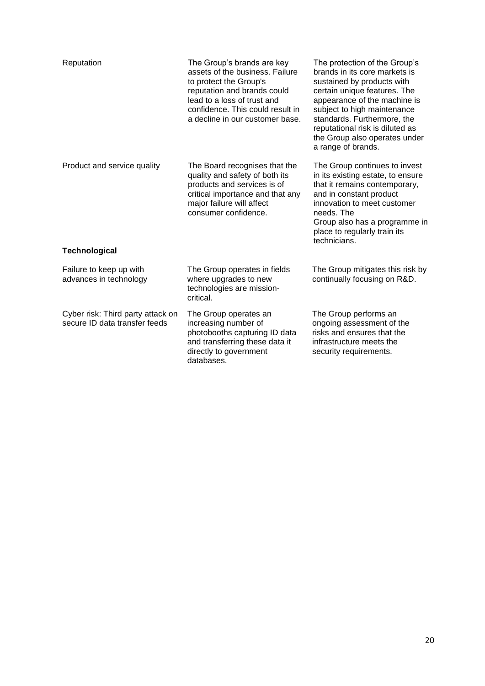| Reputation                                                         | The Group's brands are key<br>assets of the business. Failure<br>to protect the Group's<br>reputation and brands could<br>lead to a loss of trust and<br>confidence. This could result in<br>a decline in our customer base. | The protection of the Group's<br>brands in its core markets is<br>sustained by products with<br>certain unique features. The<br>appearance of the machine is<br>subject to high maintenance<br>standards. Furthermore, the<br>reputational risk is diluted as<br>the Group also operates under<br>a range of brands. |
|--------------------------------------------------------------------|------------------------------------------------------------------------------------------------------------------------------------------------------------------------------------------------------------------------------|----------------------------------------------------------------------------------------------------------------------------------------------------------------------------------------------------------------------------------------------------------------------------------------------------------------------|
| Product and service quality<br><b>Technological</b>                | The Board recognises that the<br>quality and safety of both its<br>products and services is of<br>critical importance and that any<br>major failure will affect<br>consumer confidence.                                      | The Group continues to invest<br>in its existing estate, to ensure<br>that it remains contemporary,<br>and in constant product<br>innovation to meet customer<br>needs. The<br>Group also has a programme in<br>place to regularly train its<br>technicians.                                                         |
| Failure to keep up with<br>advances in technology                  | The Group operates in fields<br>where upgrades to new<br>technologies are mission-<br>critical.                                                                                                                              | The Group mitigates this risk by<br>continually focusing on R&D.                                                                                                                                                                                                                                                     |
| Cyber risk: Third party attack on<br>secure ID data transfer feeds | The Group operates an<br>increasing number of<br>photobooths capturing ID data<br>and transferring these data it<br>directly to government<br>databases.                                                                     | The Group performs an<br>ongoing assessment of the<br>risks and ensures that the<br>infrastructure meets the<br>security requirements.                                                                                                                                                                               |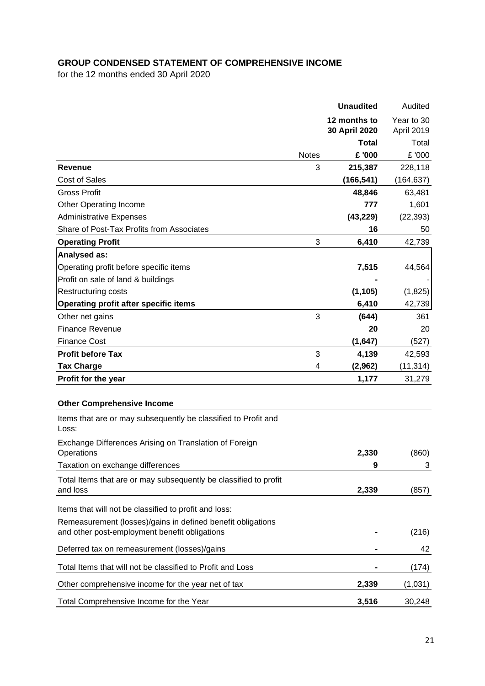# **GROUP CONDENSED STATEMENT OF COMPREHENSIVE INCOME**

for the 12 months ended 30 April 2020

|                                                                         |              | <b>Unaudited</b>              | Audited                  |
|-------------------------------------------------------------------------|--------------|-------------------------------|--------------------------|
|                                                                         |              | 12 months to<br>30 April 2020 | Year to 30<br>April 2019 |
|                                                                         |              | <b>Total</b>                  | Total                    |
|                                                                         | <b>Notes</b> | £ '000                        | £ '000                   |
| <b>Revenue</b>                                                          | 3            | 215,387                       | 228,118                  |
| <b>Cost of Sales</b>                                                    |              | (166, 541)                    | (164, 637)               |
| <b>Gross Profit</b>                                                     |              | 48,846                        | 63,481                   |
| <b>Other Operating Income</b>                                           |              | 777                           | 1,601                    |
| <b>Administrative Expenses</b>                                          |              | (43, 229)                     | (22, 393)                |
| Share of Post-Tax Profits from Associates                               |              | 16                            | 50                       |
| <b>Operating Profit</b>                                                 | 3            | 6,410                         | 42,739                   |
| Analysed as:                                                            |              |                               |                          |
| Operating profit before specific items                                  |              | 7,515                         | 44,564                   |
| Profit on sale of land & buildings                                      |              |                               |                          |
| <b>Restructuring costs</b>                                              |              | (1, 105)                      | (1,825)                  |
| <b>Operating profit after specific items</b>                            |              | 6,410                         | 42,739                   |
| Other net gains                                                         | 3            | (644)                         | 361                      |
| <b>Finance Revenue</b>                                                  |              | 20                            | 20                       |
| <b>Finance Cost</b>                                                     |              | (1,647)                       | (527)                    |
| <b>Profit before Tax</b>                                                | 3            | 4,139                         | 42,593                   |
| <b>Tax Charge</b>                                                       | 4            | (2,962)                       | (11, 314)                |
| Profit for the year                                                     |              | 1,177                         | 31,279                   |
|                                                                         |              |                               |                          |
| <b>Other Comprehensive Income</b>                                       |              |                               |                          |
| Items that are or may subsequently be classified to Profit and<br>Loss: |              |                               |                          |
| Exchange Differences Arising on Translation of Foreign                  |              |                               |                          |
| Operations                                                              |              | 2,330                         | (860)                    |
| Taxation on exchange differences                                        |              | g                             | 3                        |
| Total Items that are or may subsequently be classified to profit        |              |                               |                          |
| and loss                                                                |              | 2,339                         | (857)                    |
| Items that will not be classified to profit and loss:                   |              |                               |                          |
| Remeasurement (losses)/gains in defined benefit obligations             |              |                               |                          |
| and other post-employment benefit obligations                           |              |                               | (216)                    |
| Deferred tax on remeasurement (losses)/gains                            |              |                               | 42                       |
| Total Items that will not be classified to Profit and Loss              |              |                               |                          |
|                                                                         |              |                               | (174)                    |
| Other comprehensive income for the year net of tax                      |              | 2,339                         | (1,031)                  |
| Total Comprehensive Income for the Year                                 |              | 3,516                         | 30,248                   |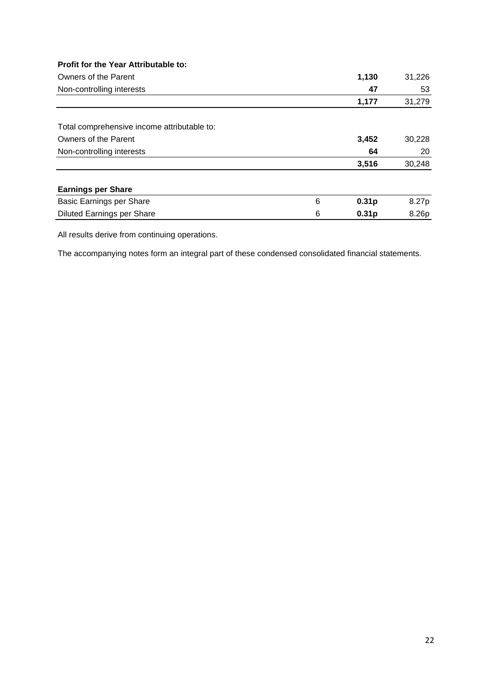| Profit for the Year Attributable to:        |   |                   |        |
|---------------------------------------------|---|-------------------|--------|
| Owners of the Parent                        |   | 1,130             | 31,226 |
| Non-controlling interests                   |   | 47                | 53     |
|                                             |   | 1,177             | 31,279 |
|                                             |   |                   |        |
| Total comprehensive income attributable to: |   |                   |        |
| Owners of the Parent                        |   | 3,452             | 30,228 |
| Non-controlling interests                   |   | 64                | 20     |
|                                             |   | 3,516             | 30,248 |
| <b>Earnings per Share</b>                   |   |                   |        |
| Basic Earnings per Share                    | 6 | 0.31 <sub>p</sub> | 8.27p  |
| <b>Diluted Earnings per Share</b>           | 6 | 0.31 <sub>p</sub> | 8.26p  |
|                                             |   |                   |        |

All results derive from continuing operations.

The accompanying notes form an integral part of these condensed consolidated financial statements.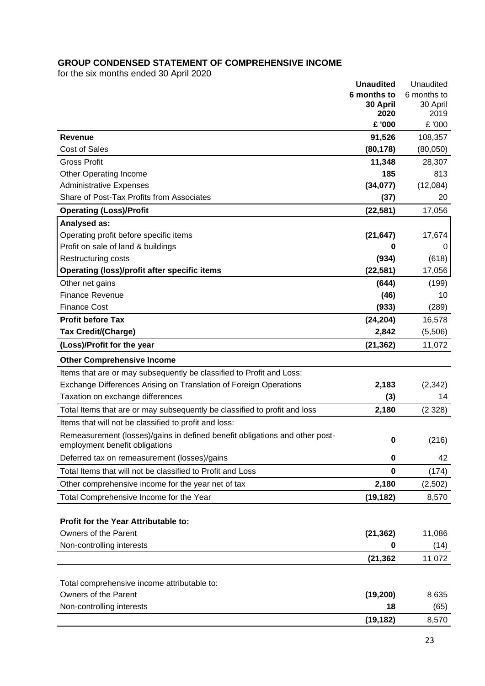# **GROUP CONDENSED STATEMENT OF COMPREHENSIVE INCOME**

for the six months ended 30 April 2020

|                                                                                                               | <b>Unaudited</b> | Unaudited        |
|---------------------------------------------------------------------------------------------------------------|------------------|------------------|
|                                                                                                               | 6 months to      | 6 months to      |
|                                                                                                               | 30 April<br>2020 | 30 April<br>2019 |
|                                                                                                               | £ '000           | £ '000           |
| <b>Revenue</b>                                                                                                | 91,526           | 108,357          |
| <b>Cost of Sales</b>                                                                                          | (80, 178)        | (80,050)         |
| <b>Gross Profit</b>                                                                                           | 11,348           | 28,307           |
| <b>Other Operating Income</b>                                                                                 | 185              | 813              |
| <b>Administrative Expenses</b>                                                                                | (34,077)         | (12,084)         |
| Share of Post-Tax Profits from Associates                                                                     | (37)             | 20               |
| <b>Operating (Loss)/Profit</b>                                                                                | (22, 581)        | 17,056           |
| Analysed as:                                                                                                  |                  |                  |
| Operating profit before specific items                                                                        | (21, 647)        | 17,674           |
| Profit on sale of land & buildings                                                                            | 0                | 0                |
| Restructuring costs                                                                                           | (934)            | (618)            |
| <b>Operating (loss)/profit after specific items</b>                                                           | (22, 581)        | 17,056           |
| Other net gains                                                                                               | (644)            | (199)            |
| <b>Finance Revenue</b>                                                                                        | (46)             | 10               |
| <b>Finance Cost</b>                                                                                           | (933)            | (289)            |
| <b>Profit before Tax</b>                                                                                      | (24, 204)        | 16,578           |
| <b>Tax Credit/(Charge)</b>                                                                                    | 2,842            | (5,506)          |
| (Loss)/Profit for the year                                                                                    | (21, 362)        | 11,072           |
| <b>Other Comprehensive Income</b>                                                                             |                  |                  |
| Items that are or may subsequently be classified to Profit and Loss:                                          |                  |                  |
| Exchange Differences Arising on Translation of Foreign Operations                                             | 2,183            | (2, 342)         |
| Taxation on exchange differences                                                                              | (3)              | 14               |
| Total Items that are or may subsequently be classified to profit and loss                                     | 2,180            | (2328)           |
| Items that will not be classified to profit and loss:                                                         |                  |                  |
| Remeasurement (losses)/gains in defined benefit obligations and other post-<br>employment benefit obligations | $\bf{0}$         | (216)            |
| Deferred tax on remeasurement (losses)/gains                                                                  | $\bf{0}$         | 42               |
| Total Items that will not be classified to Profit and Loss                                                    | $\bf{0}$         | (174)            |
| Other comprehensive income for the year net of tax                                                            | 2,180            | (2,502)          |
| Total Comprehensive Income for the Year                                                                       | (19, 182)        | 8,570            |
|                                                                                                               |                  |                  |
| Profit for the Year Attributable to:                                                                          |                  |                  |
| Owners of the Parent                                                                                          | (21, 362)        | 11,086           |
| Non-controlling interests                                                                                     | 0                | (14)             |
|                                                                                                               | (21, 362)        | 11 072           |
|                                                                                                               |                  |                  |
| Total comprehensive income attributable to:                                                                   |                  |                  |
| Owners of the Parent                                                                                          | (19, 200)        | 8635             |
| Non-controlling interests                                                                                     | 18               | (65)             |
|                                                                                                               | (19, 182)        | 8,570            |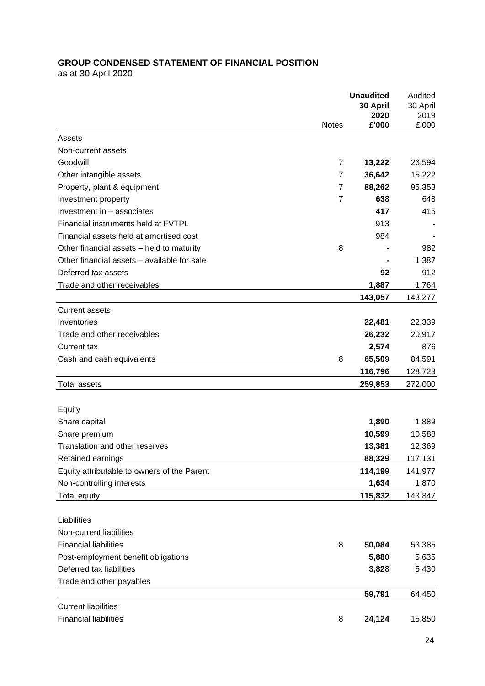# **GROUP CONDENSED STATEMENT OF FINANCIAL POSITION**

as at 30 April 2020

|                                             |                | <b>Unaudited</b> | Audited  |
|---------------------------------------------|----------------|------------------|----------|
|                                             |                | 30 April         | 30 April |
|                                             |                | 2020             | 2019     |
|                                             | <b>Notes</b>   | £'000            | £'000    |
| Assets                                      |                |                  |          |
| Non-current assets                          |                |                  |          |
| Goodwill                                    | 7              | 13,222           | 26,594   |
| Other intangible assets                     | 7              | 36,642           | 15,222   |
| Property, plant & equipment                 | $\overline{7}$ | 88,262           | 95,353   |
| Investment property                         | $\overline{7}$ | 638              | 648      |
| Investment in - associates                  |                | 417              | 415      |
| Financial instruments held at FVTPL         |                | 913              |          |
| Financial assets held at amortised cost     |                | 984              |          |
| Other financial assets - held to maturity   | 8              |                  | 982      |
| Other financial assets - available for sale |                |                  | 1,387    |
| Deferred tax assets                         |                | 92               | 912      |
| Trade and other receivables                 |                | 1,887            | 1,764    |
|                                             |                | 143,057          | 143,277  |
| <b>Current assets</b>                       |                |                  |          |
| Inventories                                 |                | 22,481           | 22,339   |
| Trade and other receivables                 |                | 26,232           | 20,917   |
| Current tax                                 |                | 2,574            | 876      |
| Cash and cash equivalents                   | 8              | 65,509           | 84,591   |
|                                             |                | 116,796          | 128,723  |
| <b>Total assets</b>                         |                | 259,853          | 272,000  |
|                                             |                |                  |          |
| Equity                                      |                |                  |          |
| Share capital                               |                | 1,890            | 1,889    |
| Share premium                               |                | 10,599           | 10,588   |
| Translation and other reserves              |                | 13,381           | 12,369   |
| Retained earnings                           |                | 88,329           | 117,131  |
| Equity attributable to owners of the Parent |                | 114,199          | 141,977  |
| Non-controlling interests                   |                | 1,634            | 1,870    |
| <b>Total equity</b>                         |                | 115,832          | 143,847  |
|                                             |                |                  |          |
| Liabilities                                 |                |                  |          |
| Non-current liabilities                     |                |                  |          |
| <b>Financial liabilities</b>                | 8              | 50,084           | 53,385   |
| Post-employment benefit obligations         |                | 5,880            | 5,635    |
| Deferred tax liabilities                    |                | 3,828            | 5,430    |
| Trade and other payables                    |                |                  |          |
|                                             |                | 59,791           | 64,450   |
| <b>Current liabilities</b>                  |                |                  |          |
| <b>Financial liabilities</b>                | 8              | 24,124           | 15,850   |
|                                             |                |                  |          |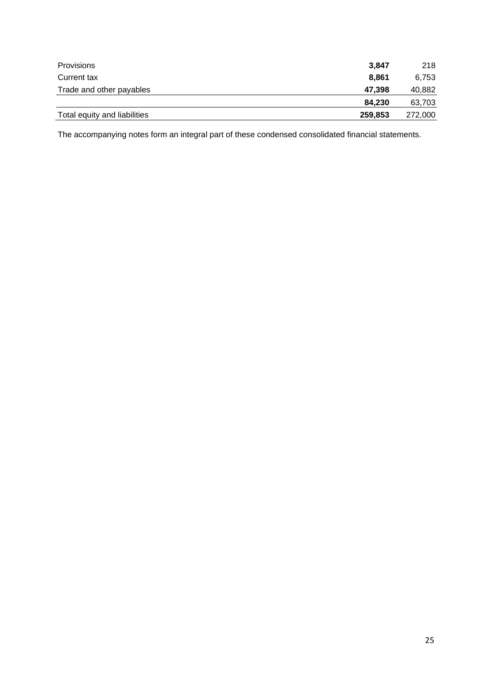| <b>Provisions</b>            | 3.847   | 218     |
|------------------------------|---------|---------|
| Current tax                  | 8.861   | 6,753   |
| Trade and other payables     | 47.398  | 40,882  |
|                              | 84.230  | 63,703  |
| Total equity and liabilities | 259,853 | 272,000 |

The accompanying notes form an integral part of these condensed consolidated financial statements.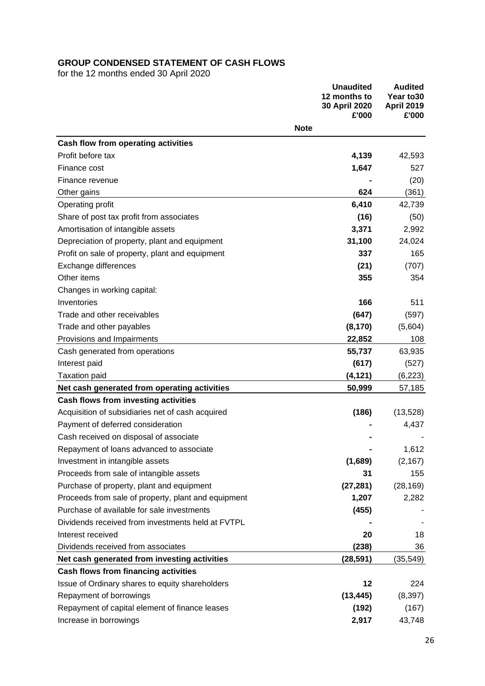# **GROUP CONDENSED STATEMENT OF CASH FLOWS**

for the 12 months ended 30 April 2020

|                                                     |             | <b>Unaudited</b><br>12 months to<br>30 April 2020<br>£'000 | <b>Audited</b><br>Year to 30<br><b>April 2019</b><br>£'000 |
|-----------------------------------------------------|-------------|------------------------------------------------------------|------------------------------------------------------------|
|                                                     | <b>Note</b> |                                                            |                                                            |
| Cash flow from operating activities                 |             |                                                            |                                                            |
| Profit before tax                                   |             | 4,139                                                      | 42,593                                                     |
| Finance cost                                        |             | 1,647                                                      | 527                                                        |
| Finance revenue                                     |             |                                                            | (20)                                                       |
| Other gains                                         |             | 624                                                        | (361)                                                      |
| Operating profit                                    |             | 6,410                                                      | 42,739                                                     |
| Share of post tax profit from associates            |             | (16)                                                       | (50)                                                       |
| Amortisation of intangible assets                   |             | 3,371                                                      | 2,992                                                      |
| Depreciation of property, plant and equipment       |             | 31,100                                                     | 24,024                                                     |
| Profit on sale of property, plant and equipment     |             | 337                                                        | 165                                                        |
| Exchange differences                                |             | (21)                                                       | (707)                                                      |
| Other items                                         |             | 355                                                        | 354                                                        |
| Changes in working capital:                         |             |                                                            |                                                            |
| Inventories                                         |             | 166                                                        | 511                                                        |
| Trade and other receivables                         |             | (647)                                                      | (597)                                                      |
| Trade and other payables                            |             | (8, 170)                                                   | (5,604)                                                    |
| Provisions and Impairments                          |             | 22,852                                                     | 108                                                        |
| Cash generated from operations                      |             | 55,737                                                     | 63,935                                                     |
| Interest paid                                       |             | (617)                                                      | (527)                                                      |
| <b>Taxation paid</b>                                |             | (4, 121)                                                   | (6, 223)                                                   |
| Net cash generated from operating activities        |             | 50,999                                                     | 57,185                                                     |
| Cash flows from investing activities                |             |                                                            |                                                            |
| Acquisition of subsidiaries net of cash acquired    |             | (186)                                                      | (13, 528)                                                  |
| Payment of deferred consideration                   |             |                                                            | 4,437                                                      |
| Cash received on disposal of associate              |             |                                                            |                                                            |
| Repayment of loans advanced to associate            |             |                                                            | 1,612                                                      |
| Investment in intangible assets                     |             | (1,689)                                                    | (2, 167)                                                   |
| Proceeds from sale of intangible assets             |             | 31                                                         | 155                                                        |
| Purchase of property, plant and equipment           |             | (27, 281)                                                  | (28, 169)                                                  |
| Proceeds from sale of property, plant and equipment |             | 1,207                                                      | 2,282                                                      |
| Purchase of available for sale investments          |             | (455)                                                      |                                                            |
| Dividends received from investments held at FVTPL   |             |                                                            |                                                            |
| Interest received                                   |             | 20                                                         | 18                                                         |
| Dividends received from associates                  |             | (238)                                                      | 36                                                         |
| Net cash generated from investing activities        |             | (28, 591)                                                  | (35, 549)                                                  |
| <b>Cash flows from financing activities</b>         |             |                                                            |                                                            |
| Issue of Ordinary shares to equity shareholders     |             | 12                                                         | 224                                                        |
| Repayment of borrowings                             |             | (13, 445)                                                  | (8, 397)                                                   |
| Repayment of capital element of finance leases      |             | (192)                                                      | (167)                                                      |
| Increase in borrowings                              |             | 2,917                                                      | 43,748                                                     |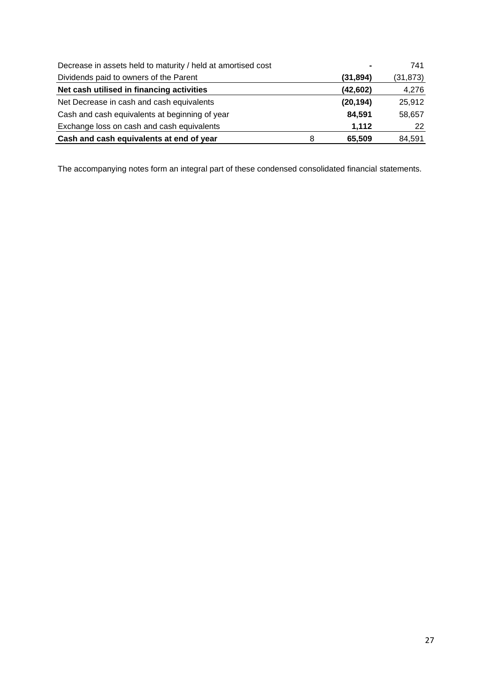| Decrease in assets held to maturity / held at amortised cost |           | 741      |
|--------------------------------------------------------------|-----------|----------|
| Dividends paid to owners of the Parent                       | (31, 894) | (31,873) |
| Net cash utilised in financing activities                    | (42, 602) | 4,276    |
| Net Decrease in cash and cash equivalents                    | (20, 194) | 25,912   |
| Cash and cash equivalents at beginning of year               | 84,591    | 58,657   |
| Exchange loss on cash and cash equivalents                   | 1,112     | 22       |
| Cash and cash equivalents at end of year<br>8                | 65,509    | 84,591   |

The accompanying notes form an integral part of these condensed consolidated financial statements.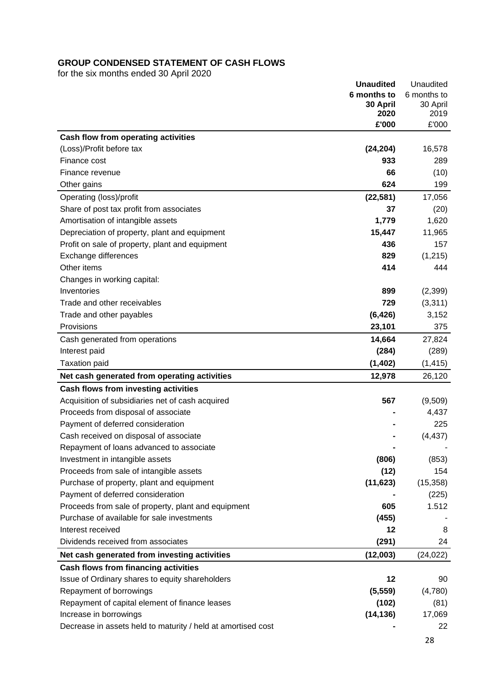# **GROUP CONDENSED STATEMENT OF CASH FLOWS**

for the six months ended 30 April 2020

|                                                              | <b>Unaudited</b> | Unaudited     |
|--------------------------------------------------------------|------------------|---------------|
|                                                              | 6 months to      | 6 months to   |
|                                                              | 30 April<br>2020 | 30 April      |
|                                                              | £'000            | 2019<br>£'000 |
|                                                              |                  |               |
| Cash flow from operating activities                          |                  |               |
| (Loss)/Profit before tax                                     | (24, 204)        | 16,578        |
| Finance cost                                                 | 933              | 289           |
| Finance revenue                                              | 66               | (10)          |
| Other gains                                                  | 624              | 199           |
| Operating (loss)/profit                                      | (22, 581)        | 17,056        |
| Share of post tax profit from associates                     | 37               | (20)          |
| Amortisation of intangible assets                            | 1,779            | 1,620         |
| Depreciation of property, plant and equipment                | 15,447           | 11,965        |
| Profit on sale of property, plant and equipment              | 436              | 157           |
| Exchange differences                                         | 829              | (1,215)       |
| Other items                                                  | 414              | 444           |
| Changes in working capital:                                  |                  |               |
| Inventories                                                  | 899              | (2,399)       |
| Trade and other receivables                                  | 729              | (3,311)       |
| Trade and other payables                                     | (6, 426)         | 3,152         |
| Provisions                                                   | 23,101           | 375           |
| Cash generated from operations                               | 14,664           | 27,824        |
| Interest paid                                                | (284)            | (289)         |
| <b>Taxation paid</b>                                         | (1,402)          | (1, 415)      |
| Net cash generated from operating activities                 | 12,978           | 26,120        |
| Cash flows from investing activities                         |                  |               |
| Acquisition of subsidiaries net of cash acquired             | 567              | (9,509)       |
| Proceeds from disposal of associate                          |                  | 4,437         |
| Payment of deferred consideration                            |                  | 225           |
| Cash received on disposal of associate                       |                  | (4, 437)      |
| Repayment of loans advanced to associate                     |                  |               |
| Investment in intangible assets                              | (806)            | (853)         |
|                                                              |                  |               |
| Proceeds from sale of intangible assets                      | (12)             | 154           |
| Purchase of property, plant and equipment                    | (11, 623)        | (15, 358)     |
| Payment of deferred consideration                            |                  | (225)         |
| Proceeds from sale of property, plant and equipment          | 605              | 1.512         |
| Purchase of available for sale investments                   | (455)            |               |
| Interest received                                            | 12               | 8             |
| Dividends received from associates                           | (291)            | 24            |
| Net cash generated from investing activities                 | (12,003)         | (24, 022)     |
| Cash flows from financing activities                         |                  |               |
| Issue of Ordinary shares to equity shareholders              | 12               | 90            |
| Repayment of borrowings                                      | (5, 559)         | (4,780)       |
| Repayment of capital element of finance leases               | (102)            | (81)          |
| Increase in borrowings                                       | (14, 136)        | 17,069        |
| Decrease in assets held to maturity / held at amortised cost |                  | 22            |
|                                                              |                  |               |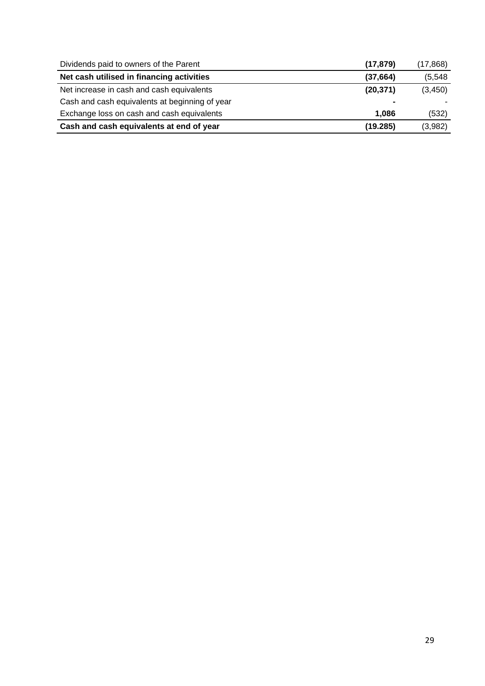| Dividends paid to owners of the Parent         | (17, 879) | (17,868) |
|------------------------------------------------|-----------|----------|
| Net cash utilised in financing activities      | (37, 664) | (5, 548) |
| Net increase in cash and cash equivalents      | (20, 371) | (3, 450) |
| Cash and cash equivalents at beginning of year |           |          |
| Exchange loss on cash and cash equivalents     | 1.086     | (532)    |
| Cash and cash equivalents at end of year       | (19.285)  | (3,982)  |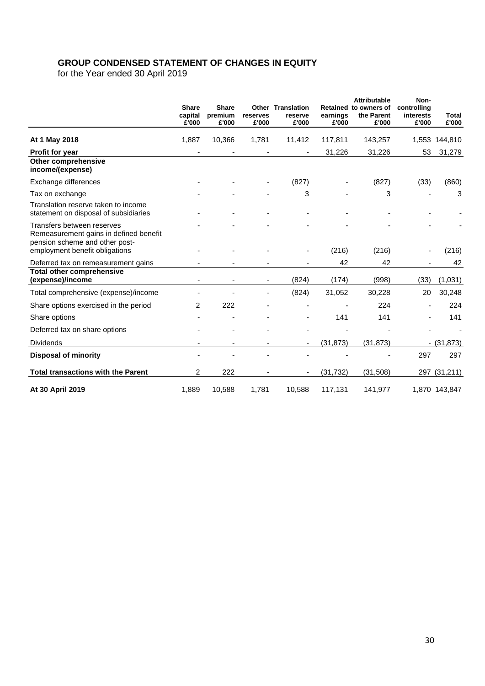# **GROUP CONDENSED STATEMENT OF CHANGES IN EQUITY**

for the Year ended 30 April 2019

|                                                                                                        | <b>Share</b><br>capital<br>£'000 | <b>Share</b><br>premium<br>£'000 | reserves<br>£'000 | <b>Other Translation</b><br>reserve<br>£'000 | earnings<br>£'000 | <b>Attributable</b><br>Retained to owners of<br>the Parent<br>£'000 | Non-<br>controlling<br>interests<br>£'000 | <b>Total</b><br>£'000 |
|--------------------------------------------------------------------------------------------------------|----------------------------------|----------------------------------|-------------------|----------------------------------------------|-------------------|---------------------------------------------------------------------|-------------------------------------------|-----------------------|
| At 1 May 2018                                                                                          | 1,887                            | 10,366                           | 1,781             | 11,412                                       | 117,811           | 143,257                                                             | 1,553                                     | 144,810               |
| Profit for year                                                                                        |                                  |                                  |                   |                                              | 31,226            | 31,226                                                              | 53                                        | 31,279                |
| Other comprehensive<br>income/(expense)                                                                |                                  |                                  |                   |                                              |                   |                                                                     |                                           |                       |
| Exchange differences                                                                                   |                                  |                                  |                   | (827)                                        |                   | (827)                                                               | (33)                                      | (860)                 |
| Tax on exchange                                                                                        |                                  |                                  |                   | 3                                            |                   | 3                                                                   |                                           | 3                     |
| Translation reserve taken to income<br>statement on disposal of subsidiaries                           |                                  |                                  |                   |                                              |                   |                                                                     |                                           |                       |
| Transfers between reserves<br>Remeasurement gains in defined benefit<br>pension scheme and other post- |                                  |                                  |                   |                                              |                   |                                                                     |                                           |                       |
| employment benefit obligations                                                                         |                                  |                                  |                   |                                              | (216)             | (216)                                                               |                                           | (216)                 |
| Deferred tax on remeasurement gains                                                                    |                                  |                                  |                   |                                              | 42                | 42                                                                  |                                           | 42                    |
| <b>Total other comprehensive</b><br>(expense)/income                                                   |                                  |                                  |                   | (824)                                        | (174)             | (998)                                                               | (33)                                      | (1,031)               |
| Total comprehensive (expense)/income                                                                   |                                  |                                  |                   | (824)                                        | 31,052            | 30,228                                                              | 20                                        | 30,248                |
| Share options exercised in the period                                                                  | $\overline{2}$                   | 222                              |                   |                                              |                   | 224                                                                 |                                           | 224                   |
| Share options                                                                                          |                                  |                                  |                   |                                              | 141               | 141                                                                 |                                           | 141                   |
| Deferred tax on share options                                                                          |                                  |                                  |                   |                                              |                   |                                                                     |                                           |                       |
| <b>Dividends</b>                                                                                       |                                  |                                  |                   | ٠                                            | (31, 873)         | (31, 873)                                                           |                                           | $-$ (31,873)          |
| <b>Disposal of minority</b>                                                                            |                                  |                                  |                   |                                              |                   |                                                                     | 297                                       | 297                   |
| <b>Total transactions with the Parent</b>                                                              | 2                                | 222                              |                   |                                              | (31, 732)         | (31,508)                                                            |                                           | 297 (31,211)          |
| At 30 April 2019                                                                                       | 1,889                            | 10,588                           | 1,781             | 10,588                                       | 117,131           | 141,977                                                             |                                           | 1,870 143,847         |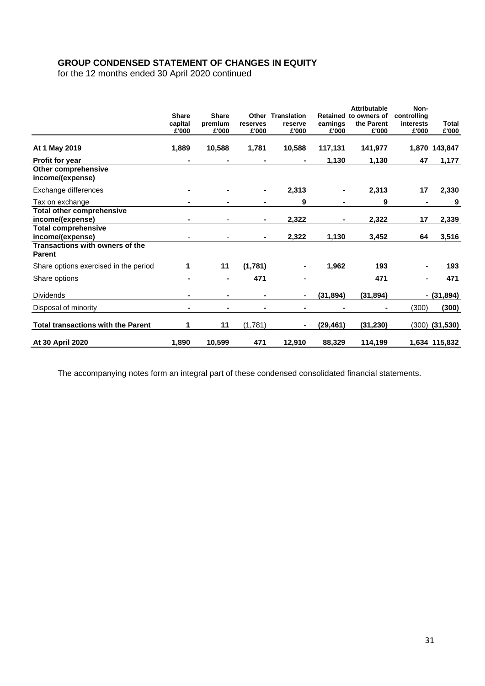# **GROUP CONDENSED STATEMENT OF CHANGES IN EQUITY**

for the 12 months ended 30 April 2020 continued

|                                                         | <b>Share</b><br>capital<br>£'000 | <b>Share</b><br>premium<br>£'000 | reserves<br>£'000 | <b>Other Translation</b><br>reserve<br>£'000 | earnings<br>£'000 | <b>Attributable</b><br>Retained to owners of<br>the Parent<br>£'000 | Non-<br>controlling<br>interests<br>£'000 | Total<br>£'000 |
|---------------------------------------------------------|----------------------------------|----------------------------------|-------------------|----------------------------------------------|-------------------|---------------------------------------------------------------------|-------------------------------------------|----------------|
| At 1 May 2019                                           | 1,889                            | 10,588                           | 1,781             | 10,588                                       | 117,131           | 141,977                                                             |                                           | 1,870 143,847  |
| <b>Profit for year</b>                                  | $\blacksquare$                   |                                  |                   |                                              | 1,130             | 1,130                                                               | 47                                        | 1,177          |
| <b>Other comprehensive</b><br>income/(expense)          |                                  |                                  |                   |                                              |                   |                                                                     |                                           |                |
| Exchange differences                                    |                                  |                                  |                   | 2,313                                        | $\blacksquare$    | 2,313                                                               | 17                                        | 2,330          |
| Tax on exchange                                         |                                  |                                  |                   | 9                                            | $\blacksquare$    | 9                                                                   |                                           | 9              |
| <b>Total other comprehensive</b><br>income/(expense)    | ۰                                |                                  | $\blacksquare$    | 2,322                                        | $\blacksquare$    | 2,322                                                               | 17                                        | 2,339          |
| <b>Total comprehensive</b><br>income/(expense)          |                                  |                                  |                   | 2,322                                        | 1,130             | 3,452                                                               | 64                                        | 3,516          |
| <b>Transactions with owners of the</b><br><b>Parent</b> |                                  |                                  |                   |                                              |                   |                                                                     |                                           |                |
| Share options exercised in the period                   | 1                                | 11                               | (1,781)           |                                              | 1,962             | 193                                                                 |                                           | 193            |
| Share options                                           |                                  | $\blacksquare$                   | 471               |                                              |                   | 471                                                                 |                                           | 471            |
| <b>Dividends</b>                                        | $\blacksquare$                   | $\blacksquare$                   |                   |                                              | (31, 894)         | (31, 894)                                                           |                                           | $-$ (31,894)   |
| Disposal of minority                                    |                                  |                                  |                   |                                              |                   |                                                                     | (300)                                     | (300)          |
| <b>Total transactions with the Parent</b>               | 1                                | 11                               | (1,781)           |                                              | (29, 461)         | (31, 230)                                                           | (300)                                     | (31, 530)      |
| At 30 April 2020                                        | 1,890                            | 10,599                           | 471               | 12,910                                       | 88,329            | 114,199                                                             |                                           | 1,634 115,832  |

The accompanying notes form an integral part of these condensed consolidated financial statements.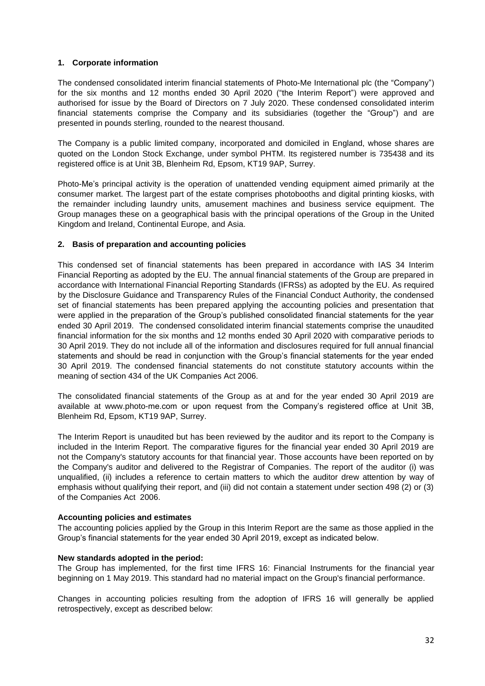#### **1. Corporate information**

The condensed consolidated interim financial statements of Photo-Me International plc (the "Company") for the six months and 12 months ended 30 April 2020 ("the Interim Report") were approved and authorised for issue by the Board of Directors on 7 July 2020. These condensed consolidated interim financial statements comprise the Company and its subsidiaries (together the "Group") and are presented in pounds sterling, rounded to the nearest thousand.

The Company is a public limited company, incorporated and domiciled in England, whose shares are quoted on the London Stock Exchange, under symbol PHTM. Its registered number is 735438 and its registered office is at Unit 3B, Blenheim Rd, Epsom, KT19 9AP, Surrey.

Photo-Me's principal activity is the operation of unattended vending equipment aimed primarily at the consumer market. The largest part of the estate comprises photobooths and digital printing kiosks, with the remainder including laundry units, amusement machines and business service equipment. The Group manages these on a geographical basis with the principal operations of the Group in the United Kingdom and Ireland, Continental Europe, and Asia.

#### **2. Basis of preparation and accounting policies**

This condensed set of financial statements has been prepared in accordance with IAS 34 Interim Financial Reporting as adopted by the EU. The annual financial statements of the Group are prepared in accordance with International Financial Reporting Standards (IFRSs) as adopted by the EU. As required by the Disclosure Guidance and Transparency Rules of the Financial Conduct Authority, the condensed set of financial statements has been prepared applying the accounting policies and presentation that were applied in the preparation of the Group's published consolidated financial statements for the year ended 30 April 2019. The condensed consolidated interim financial statements comprise the unaudited financial information for the six months and 12 months ended 30 April 2020 with comparative periods to 30 April 2019. They do not include all of the information and disclosures required for full annual financial statements and should be read in conjunction with the Group's financial statements for the year ended 30 April 2019. The condensed financial statements do not constitute statutory accounts within the meaning of section 434 of the UK Companies Act 2006.

The consolidated financial statements of the Group as at and for the year ended 30 April 2019 are available at www.photo-me.com or upon request from the Company's registered office at Unit 3B, Blenheim Rd, Epsom, KT19 9AP, Surrey.

The Interim Report is unaudited but has been reviewed by the auditor and its report to the Company is included in the Interim Report. The comparative figures for the financial year ended 30 April 2019 are not the Company's statutory accounts for that financial year. Those accounts have been reported on by the Company's auditor and delivered to the Registrar of Companies. The report of the auditor (i) was unqualified, (ii) includes a reference to certain matters to which the auditor drew attention by way of emphasis without qualifying their report, and (iii) did not contain a statement under section 498 (2) or (3) of the Companies Act 2006.

#### **Accounting policies and estimates**

The accounting policies applied by the Group in this Interim Report are the same as those applied in the Group's financial statements for the year ended 30 April 2019, except as indicated below.

#### **New standards adopted in the period:**

The Group has implemented, for the first time IFRS 16: Financial Instruments for the financial year beginning on 1 May 2019. This standard had no material impact on the Group's financial performance.

Changes in accounting policies resulting from the adoption of IFRS 16 will generally be applied retrospectively, except as described below: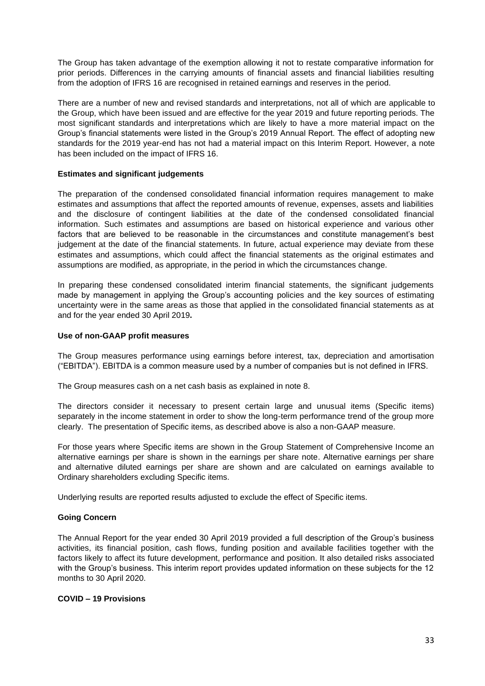The Group has taken advantage of the exemption allowing it not to restate comparative information for prior periods. Differences in the carrying amounts of financial assets and financial liabilities resulting from the adoption of IFRS 16 are recognised in retained earnings and reserves in the period.

There are a number of new and revised standards and interpretations, not all of which are applicable to the Group, which have been issued and are effective for the year 2019 and future reporting periods. The most significant standards and interpretations which are likely to have a more material impact on the Group's financial statements were listed in the Group's 2019 Annual Report. The effect of adopting new standards for the 2019 year-end has not had a material impact on this Interim Report. However, a note has been included on the impact of IFRS 16.

#### **Estimates and significant judgements**

The preparation of the condensed consolidated financial information requires management to make estimates and assumptions that affect the reported amounts of revenue, expenses, assets and liabilities and the disclosure of contingent liabilities at the date of the condensed consolidated financial information. Such estimates and assumptions are based on historical experience and various other factors that are believed to be reasonable in the circumstances and constitute management's best judgement at the date of the financial statements. In future, actual experience may deviate from these estimates and assumptions, which could affect the financial statements as the original estimates and assumptions are modified, as appropriate, in the period in which the circumstances change.

In preparing these condensed consolidated interim financial statements, the significant judgements made by management in applying the Group's accounting policies and the key sources of estimating uncertainty were in the same areas as those that applied in the consolidated financial statements as at and for the year ended 30 April 2019**.**

#### **Use of non-GAAP profit measures**

The Group measures performance using earnings before interest, tax, depreciation and amortisation ("EBITDA"). EBITDA is a common measure used by a number of companies but is not defined in IFRS.

The Group measures cash on a net cash basis as explained in note 8.

The directors consider it necessary to present certain large and unusual items (Specific items) separately in the income statement in order to show the long-term performance trend of the group more clearly. The presentation of Specific items, as described above is also a non-GAAP measure.

For those years where Specific items are shown in the Group Statement of Comprehensive Income an alternative earnings per share is shown in the earnings per share note. Alternative earnings per share and alternative diluted earnings per share are shown and are calculated on earnings available to Ordinary shareholders excluding Specific items.

Underlying results are reported results adjusted to exclude the effect of Specific items.

#### **Going Concern**

The Annual Report for the year ended 30 April 2019 provided a full description of the Group's business activities, its financial position, cash flows, funding position and available facilities together with the factors likely to affect its future development, performance and position. It also detailed risks associated with the Group's business. This interim report provides updated information on these subjects for the 12 months to 30 April 2020.

#### **COVID – 19 Provisions**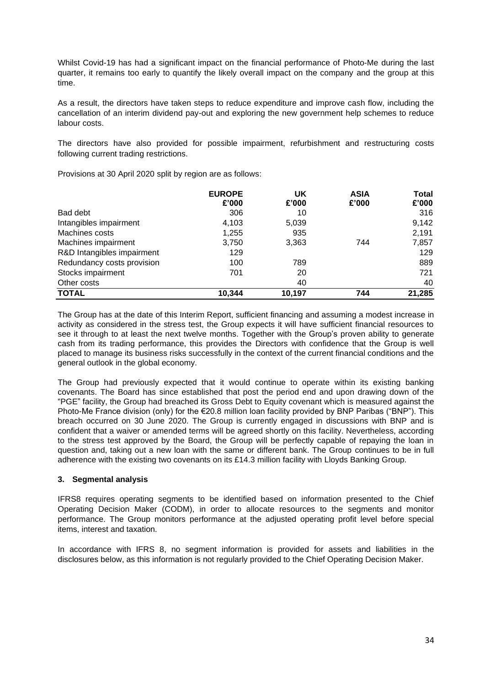Whilst Covid-19 has had a significant impact on the financial performance of Photo-Me during the last quarter, it remains too early to quantify the likely overall impact on the company and the group at this time.

As a result, the directors have taken steps to reduce expenditure and improve cash flow, including the cancellation of an interim dividend pay-out and exploring the new government help schemes to reduce labour costs.

The directors have also provided for possible impairment, refurbishment and restructuring costs following current trading restrictions.

Provisions at 30 April 2020 split by region are as follows:

|                            | <b>EUROPE</b> | UK     | <b>ASIA</b> | Total  |
|----------------------------|---------------|--------|-------------|--------|
|                            | £'000         | £'000  | £'000       | £'000  |
| Bad debt                   | 306           | 10     |             | 316    |
| Intangibles impairment     | 4,103         | 5,039  |             | 9,142  |
| Machines costs             | 1,255         | 935    |             | 2,191  |
| Machines impairment        | 3,750         | 3,363  | 744         | 7,857  |
| R&D Intangibles impairment | 129           |        |             | 129    |
| Redundancy costs provision | 100           | 789    |             | 889    |
| Stocks impairment          | 701           | 20     |             | 721    |
| Other costs                |               | 40     |             | 40     |
| <b>TOTAL</b>               | 10,344        | 10.197 | 744         | 21,285 |

The Group has at the date of this Interim Report, sufficient financing and assuming a modest increase in activity as considered in the stress test, the Group expects it will have sufficient financial resources to see it through to at least the next twelve months. Together with the Group's proven ability to generate cash from its trading performance, this provides the Directors with confidence that the Group is well placed to manage its business risks successfully in the context of the current financial conditions and the general outlook in the global economy.

The Group had previously expected that it would continue to operate within its existing banking covenants. The Board has since established that post the period end and upon drawing down of the "PGE" facility, the Group had breached its Gross Debt to Equity covenant which is measured against the Photo-Me France division (only) for the €20.8 million loan facility provided by BNP Paribas ("BNP"). This breach occurred on 30 June 2020. The Group is currently engaged in discussions with BNP and is confident that a waiver or amended terms will be agreed shortly on this facility. Nevertheless, according to the stress test approved by the Board, the Group will be perfectly capable of repaying the loan in question and, taking out a new loan with the same or different bank. The Group continues to be in full adherence with the existing two covenants on its £14.3 million facility with Lloyds Banking Group.

#### **3. Segmental analysis**

IFRS8 requires operating segments to be identified based on information presented to the Chief Operating Decision Maker (CODM), in order to allocate resources to the segments and monitor performance. The Group monitors performance at the adjusted operating profit level before special items, interest and taxation.

In accordance with IFRS 8, no segment information is provided for assets and liabilities in the disclosures below, as this information is not regularly provided to the Chief Operating Decision Maker.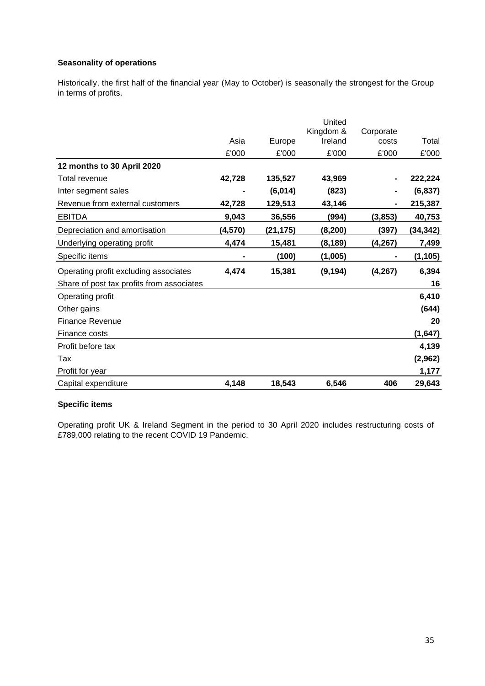## **Seasonality of operations**

Historically, the first half of the financial year (May to October) is seasonally the strongest for the Group in terms of profits.

|                                           |         |          | United               |                    |           |
|-------------------------------------------|---------|----------|----------------------|--------------------|-----------|
|                                           | Asia    | Europe   | Kingdom &<br>Ireland | Corporate<br>costs | Total     |
|                                           | £'000   | £'000    | £'000                | £'000              | £'000     |
| 12 months to 30 April 2020                |         |          |                      |                    |           |
| Total revenue                             | 42,728  | 135,527  | 43,969               |                    | 222,224   |
| Inter segment sales                       |         | (6,014)  | (823)                |                    | (6, 837)  |
| Revenue from external customers           | 42,728  | 129,513  | 43,146               |                    | 215,387   |
| <b>EBITDA</b>                             | 9,043   | 36,556   | (994)                | (3, 853)           | 40,753    |
| Depreciation and amortisation             | (4,570) | (21,175) | (8, 200)             | (397)              | (34, 342) |
| Underlying operating profit               | 4,474   | 15,481   | (8, 189)             | (4, 267)           | 7,499     |
| Specific items                            |         | (100)    | (1,005)              |                    | (1, 105)  |
| Operating profit excluding associates     | 4,474   | 15,381   | (9, 194)             | (4, 267)           | 6,394     |
| Share of post tax profits from associates |         |          |                      |                    | 16        |
| Operating profit                          |         |          |                      |                    | 6,410     |
| Other gains                               |         |          |                      |                    | (644)     |
| <b>Finance Revenue</b>                    |         |          |                      |                    | 20        |
| Finance costs                             |         |          |                      |                    | (1,647)   |
| Profit before tax                         |         |          |                      |                    | 4,139     |
| Tax                                       |         |          |                      |                    | (2,962)   |
| Profit for year                           |         |          |                      |                    | 1,177     |
| Capital expenditure                       | 4,148   | 18,543   | 6,546                | 406                | 29,643    |

# **Specific items**

Operating profit UK & Ireland Segment in the period to 30 April 2020 includes restructuring costs of £789,000 relating to the recent COVID 19 Pandemic.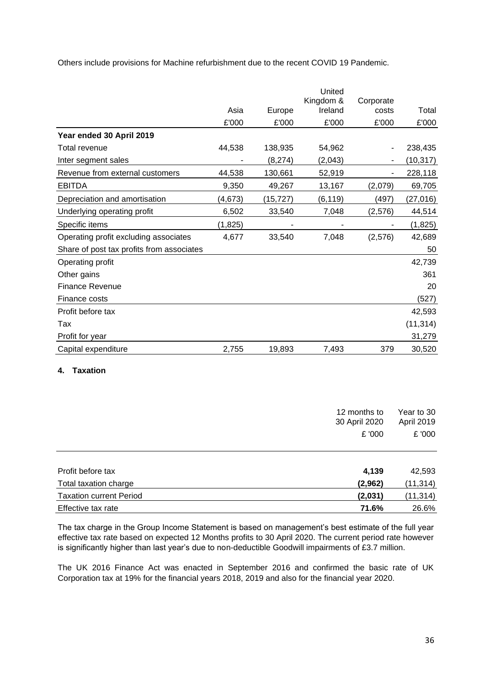Others include provisions for Machine refurbishment due to the recent COVID 19 Pandemic.

|                                           |         |          | United<br>Kingdom & | Corporate |           |
|-------------------------------------------|---------|----------|---------------------|-----------|-----------|
|                                           | Asia    | Europe   | Ireland             | costs     | Total     |
|                                           | £'000   | £'000    | £'000               | £'000     | £'000     |
| Year ended 30 April 2019                  |         |          |                     |           |           |
| Total revenue                             | 44,538  | 138,935  | 54,962              |           | 238,435   |
| Inter segment sales                       |         | (8, 274) | (2,043)             |           | (10, 317) |
| Revenue from external customers           | 44,538  | 130,661  | 52,919              |           | 228,118   |
| <b>EBITDA</b>                             | 9,350   | 49,267   | 13,167              | (2,079)   | 69,705    |
| Depreciation and amortisation             | (4,673) | (15,727) | (6, 119)            | (497)     | (27, 016) |
| Underlying operating profit               | 6,502   | 33,540   | 7,048               | (2, 576)  | 44,514    |
| Specific items                            | (1,825) |          |                     |           | (1,825)   |
| Operating profit excluding associates     | 4,677   | 33,540   | 7,048               | (2,576)   | 42,689    |
| Share of post tax profits from associates |         |          |                     |           | 50        |
| Operating profit                          |         |          |                     |           | 42,739    |
| Other gains                               |         |          |                     |           | 361       |
| <b>Finance Revenue</b>                    |         |          |                     |           | 20        |
| Finance costs                             |         |          |                     |           | (527)     |
| Profit before tax                         |         |          |                     |           | 42,593    |
| Tax                                       |         |          |                     |           | (11, 314) |
| Profit for year                           |         |          |                     |           | 31,279    |
| Capital expenditure                       | 2,755   | 19,893   | 7,493               | 379       | 30,520    |
| <b>Taxation</b><br>4.                     |         |          |                     |           |           |

|                                | 12 months to  | Year to 30 |
|--------------------------------|---------------|------------|
|                                | 30 April 2020 | April 2019 |
|                                | £ '000        | £ '000     |
|                                |               |            |
| Profit before tax              | 4,139         | 42,593     |
| Total taxation charge          | (2,962)       | (11, 314)  |
| <b>Taxation current Period</b> | (2,031)       | (11, 314)  |
| Effective tax rate             | 71.6%         | 26.6%      |

The tax charge in the Group Income Statement is based on management's best estimate of the full year effective tax rate based on expected 12 Months profits to 30 April 2020. The current period rate however is significantly higher than last year's due to non-deductible Goodwill impairments of £3.7 million.

The UK 2016 Finance Act was enacted in September 2016 and confirmed the basic rate of UK Corporation tax at 19% for the financial years 2018, 2019 and also for the financial year 2020.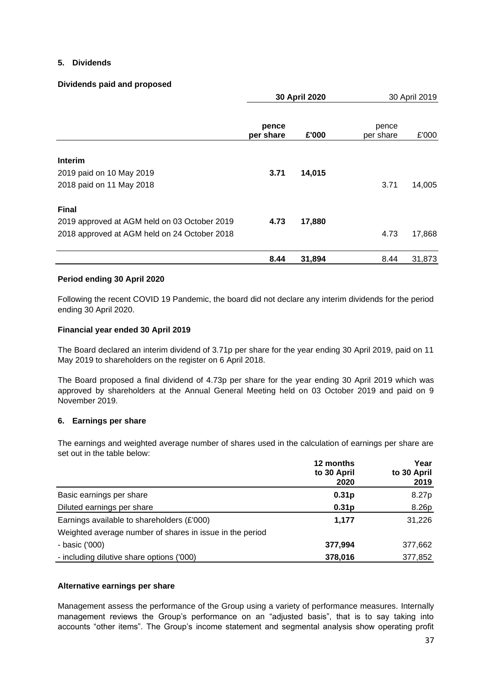#### **5. Dividends**

#### **Dividends paid and proposed**

|                                              | 30 April 2020      |        |                    | 30 April 2019 |
|----------------------------------------------|--------------------|--------|--------------------|---------------|
|                                              | pence<br>per share | £'000  | pence<br>per share | £'000         |
| Interim                                      |                    |        |                    |               |
| 2019 paid on 10 May 2019                     | 3.71               | 14,015 |                    |               |
| 2018 paid on 11 May 2018                     |                    |        | 3.71               | 14,005        |
| <b>Final</b>                                 |                    |        |                    |               |
| 2019 approved at AGM held on 03 October 2019 | 4.73               | 17,880 |                    |               |
| 2018 approved at AGM held on 24 October 2018 |                    |        | 4.73               | 17,868        |
|                                              | 8.44               | 31,894 | 8.44               | 31,873        |

#### **Period ending 30 April 2020**

Following the recent COVID 19 Pandemic, the board did not declare any interim dividends for the period ending 30 April 2020.

#### **Financial year ended 30 April 2019**

The Board declared an interim dividend of 3.71p per share for the year ending 30 April 2019, paid on 11 May 2019 to shareholders on the register on 6 April 2018.

The Board proposed a final dividend of 4.73p per share for the year ending 30 April 2019 which was approved by shareholders at the Annual General Meeting held on 03 October 2019 and paid on 9 November 2019.

#### **6. Earnings per share**

The earnings and weighted average number of shares used in the calculation of earnings per share are set out in the table below:

|                                                          | 12 months<br>to 30 April<br>2020 | Year<br>to 30 April<br>2019 |
|----------------------------------------------------------|----------------------------------|-----------------------------|
| Basic earnings per share                                 | 0.31 <sub>p</sub>                | 8.27p                       |
| Diluted earnings per share                               | 0.31 <sub>p</sub>                | 8.26p                       |
| Earnings available to shareholders (£'000)               | 1,177                            | 31,226                      |
| Weighted average number of shares in issue in the period |                                  |                             |
| - basic ('000)                                           | 377,994                          | 377,662                     |
| - including dilutive share options ('000)                | 378,016                          | 377,852                     |

#### **Alternative earnings per share**

Management assess the performance of the Group using a variety of performance measures. Internally management reviews the Group's performance on an "adjusted basis", that is to say taking into accounts "other items". The Group's income statement and segmental analysis show operating profit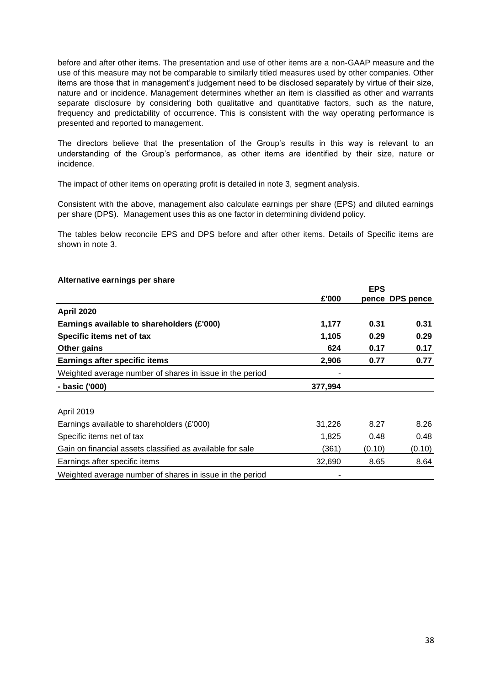before and after other items. The presentation and use of other items are a non-GAAP measure and the use of this measure may not be comparable to similarly titled measures used by other companies. Other items are those that in management's judgement need to be disclosed separately by virtue of their size, nature and or incidence. Management determines whether an item is classified as other and warrants separate disclosure by considering both qualitative and quantitative factors, such as the nature, frequency and predictability of occurrence. This is consistent with the way operating performance is presented and reported to management.

The directors believe that the presentation of the Group's results in this way is relevant to an understanding of the Group's performance, as other items are identified by their size, nature or incidence.

The impact of other items on operating profit is detailed in note 3, segment analysis.

Consistent with the above, management also calculate earnings per share (EPS) and diluted earnings per share (DPS). Management uses this as one factor in determining dividend policy.

The tables below reconcile EPS and DPS before and after other items. Details of Specific items are shown in note 3.

#### **Alternative earnings per share**

|                                                           |         | <b>EPS</b> |                 |
|-----------------------------------------------------------|---------|------------|-----------------|
|                                                           | £'000   |            | pence DPS pence |
| <b>April 2020</b>                                         |         |            |                 |
| Earnings available to shareholders (£'000)                | 1,177   | 0.31       | 0.31            |
| Specific items net of tax                                 | 1,105   | 0.29       | 0.29            |
| Other gains                                               | 624     | 0.17       | 0.17            |
| <b>Earnings after specific items</b>                      | 2,906   | 0.77       | 0.77            |
| Weighted average number of shares in issue in the period  |         |            |                 |
| - basic ('000)                                            | 377,994 |            |                 |
| April 2019                                                |         |            |                 |
| Earnings available to shareholders $(E'000)$              | 31,226  | 8.27       | 8.26            |
| Specific items net of tax                                 | 1,825   | 0.48       | 0.48            |
| Gain on financial assets classified as available for sale | (361)   | (0.10)     | (0.10)          |
| Earnings after specific items                             | 32,690  | 8.65       | 8.64            |
| Weighted average number of shares in issue in the period  |         |            |                 |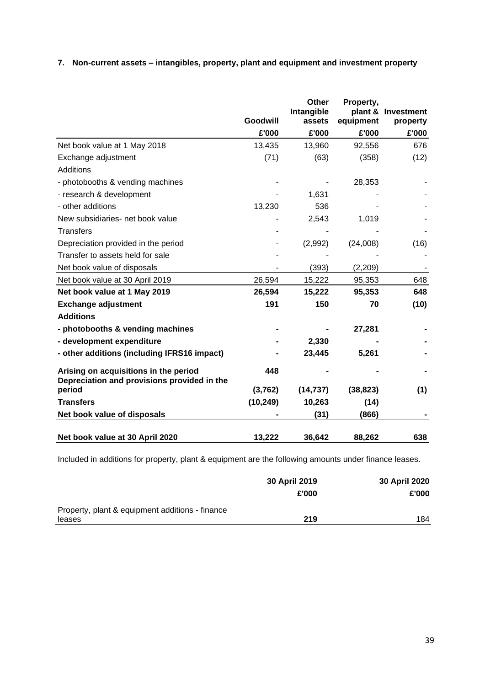## **7. Non-current assets – intangibles, property, plant and equipment and investment property**

|                                                                                      | Goodwill  | <b>Other</b><br>Intangible<br>assets | Property,<br>plant &<br>equipment | Investment<br>property |
|--------------------------------------------------------------------------------------|-----------|--------------------------------------|-----------------------------------|------------------------|
|                                                                                      | £'000     | £'000                                | £'000                             | £'000                  |
| Net book value at 1 May 2018                                                         | 13,435    | 13,960                               | 92,556                            | 676                    |
| Exchange adjustment                                                                  | (71)      | (63)                                 | (358)                             | (12)                   |
| Additions                                                                            |           |                                      |                                   |                        |
| - photobooths & vending machines                                                     |           |                                      | 28,353                            |                        |
| - research & development                                                             |           | 1,631                                |                                   |                        |
| - other additions                                                                    | 13,230    | 536                                  |                                   |                        |
| New subsidiaries- net book value                                                     |           | 2,543                                | 1,019                             |                        |
| <b>Transfers</b>                                                                     |           |                                      |                                   |                        |
| Depreciation provided in the period                                                  |           | (2,992)                              | (24,008)                          | (16)                   |
| Transfer to assets held for sale                                                     |           |                                      |                                   |                        |
| Net book value of disposals                                                          |           | (393)                                | (2,209)                           |                        |
| Net book value at 30 April 2019                                                      | 26,594    | 15,222                               | 95,353                            | 648                    |
| Net book value at 1 May 2019                                                         | 26,594    | 15,222                               | 95,353                            | 648                    |
| <b>Exchange adjustment</b>                                                           | 191       | 150                                  | 70                                | (10)                   |
| <b>Additions</b>                                                                     |           |                                      |                                   |                        |
| - photobooths & vending machines                                                     |           |                                      | 27,281                            |                        |
| - development expenditure                                                            |           | 2,330                                |                                   |                        |
| - other additions (including IFRS16 impact)                                          |           | 23,445                               | 5,261                             |                        |
| Arising on acquisitions in the period<br>Depreciation and provisions provided in the | 448       |                                      |                                   |                        |
| period                                                                               | (3,762)   | (14, 737)                            | (38, 823)                         | (1)                    |
| <b>Transfers</b>                                                                     | (10, 249) | 10,263                               | (14)                              |                        |
| Net book value of disposals                                                          |           | (31)                                 | (866)                             |                        |
| Net book value at 30 April 2020                                                      | 13,222    | 36,642                               | 88,262                            | 638                    |

Included in additions for property, plant & equipment are the following amounts under finance leases.

|                                                 | 30 April 2019 | 30 April 2020 |
|-------------------------------------------------|---------------|---------------|
|                                                 | £'000         | £'000         |
| Property, plant & equipment additions - finance |               |               |
| leases                                          | 219           | 184           |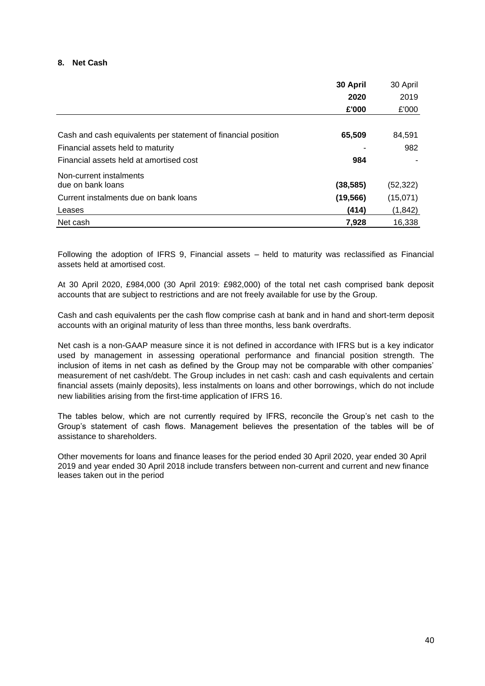#### **8. Net Cash**

|                                                               | 30 April  | 30 April  |
|---------------------------------------------------------------|-----------|-----------|
|                                                               | 2020      | 2019      |
|                                                               | £'000     | £'000     |
|                                                               |           |           |
| Cash and cash equivalents per statement of financial position | 65,509    | 84,591    |
| Financial assets held to maturity                             |           | 982       |
| Financial assets held at amortised cost                       | 984       |           |
| Non-current instalments                                       |           |           |
| due on bank loans                                             | (38, 585) | (52, 322) |
| Current instalments due on bank loans                         | (19, 566) | (15,071)  |
| Leases                                                        | (414)     | (1, 842)  |
| Net cash                                                      | 7.928     | 16,338    |

Following the adoption of IFRS 9, Financial assets – held to maturity was reclassified as Financial assets held at amortised cost.

At 30 April 2020, £984,000 (30 April 2019: £982,000) of the total net cash comprised bank deposit accounts that are subject to restrictions and are not freely available for use by the Group.

Cash and cash equivalents per the cash flow comprise cash at bank and in hand and short-term deposit accounts with an original maturity of less than three months, less bank overdrafts.

Net cash is a non-GAAP measure since it is not defined in accordance with IFRS but is a key indicator used by management in assessing operational performance and financial position strength. The inclusion of items in net cash as defined by the Group may not be comparable with other companies' measurement of net cash/debt. The Group includes in net cash: cash and cash equivalents and certain financial assets (mainly deposits), less instalments on loans and other borrowings, which do not include new liabilities arising from the first-time application of IFRS 16.

The tables below, which are not currently required by IFRS, reconcile the Group's net cash to the Group's statement of cash flows. Management believes the presentation of the tables will be of assistance to shareholders.

Other movements for loans and finance leases for the period ended 30 April 2020, year ended 30 April 2019 and year ended 30 April 2018 include transfers between non-current and current and new finance leases taken out in the period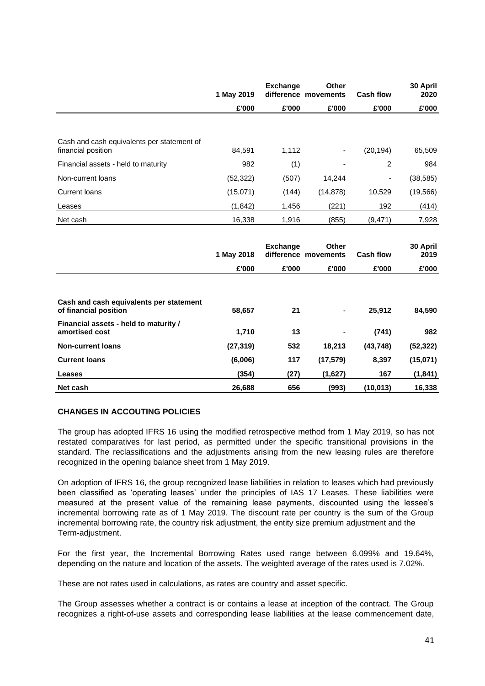|                                                                                  | 1 May 2019      | <b>Exchange</b> | <b>Other</b><br>difference movements | <b>Cash flow</b>         | 30 April<br>2020 |
|----------------------------------------------------------------------------------|-----------------|-----------------|--------------------------------------|--------------------------|------------------|
|                                                                                  | £'000           | £'000           | £'000                                | £'000                    | £'000            |
|                                                                                  |                 |                 |                                      |                          |                  |
| Cash and cash equivalents per statement of<br>financial position                 | 84,591          | 1,112           | $\overline{\phantom{a}}$             | (20, 194)                | 65,509           |
| Financial assets - held to maturity                                              | 982             | (1)             |                                      | $\overline{2}$           | 984              |
| Non-current loans                                                                | (52, 322)       | (507)           | 14,244                               | $\overline{\phantom{a}}$ | (38, 585)        |
| <b>Current loans</b>                                                             | (15,071)        | (144)           | (14, 878)                            | 10,529                   | (19, 566)        |
| Leases                                                                           | (1, 842)        | 1,456           | (221)                                | 192                      | (414)            |
| Net cash                                                                         | 16,338          | 1,916           | (855)                                | (9, 471)                 | 7,928            |
|                                                                                  |                 |                 |                                      |                          |                  |
|                                                                                  |                 |                 |                                      |                          |                  |
|                                                                                  | 1 May 2018      | <b>Exchange</b> | <b>Other</b><br>difference movements | <b>Cash flow</b>         | 30 April<br>2019 |
|                                                                                  | £'000           | £'000           | £'000                                | £'000                    | £'000            |
| Cash and cash equivalents per statement                                          |                 |                 |                                      |                          |                  |
| of financial position<br>Financial assets - held to maturity /<br>amortised cost | 58,657<br>1,710 | 21<br>13        |                                      | 25,912<br>(741)          | 84,590<br>982    |
| <b>Non-current loans</b>                                                         | (27, 319)       | 532             | 18,213                               | (43, 748)                | (52, 322)        |
| <b>Current loans</b>                                                             | (6,006)         | 117             | (17, 579)                            | 8,397                    | (15,071)         |
| <b>Leases</b>                                                                    | (354)           | (27)            | (1,627)                              | 167                      | (1, 841)         |

#### **CHANGES IN ACCOUTING POLICIES**

The group has adopted IFRS 16 using the modified retrospective method from 1 May 2019, so has not restated comparatives for last period, as permitted under the specific transitional provisions in the standard. The reclassifications and the adjustments arising from the new leasing rules are therefore recognized in the opening balance sheet from 1 May 2019.

On adoption of IFRS 16, the group recognized lease liabilities in relation to leases which had previously been classified as 'operating leases' under the principles of IAS 17 Leases. These liabilities were measured at the present value of the remaining lease payments, discounted using the lessee's incremental borrowing rate as of 1 May 2019. The discount rate per country is the sum of the Group incremental borrowing rate, the country risk adjustment, the entity size premium adjustment and the Term-adjustment.

For the first year, the Incremental Borrowing Rates used range between 6.099% and 19.64%, depending on the nature and location of the assets. The weighted average of the rates used is 7.02%.

These are not rates used in calculations, as rates are country and asset specific.

The Group assesses whether a contract is or contains a lease at inception of the contract. The Group recognizes a right-of-use assets and corresponding lease liabilities at the lease commencement date,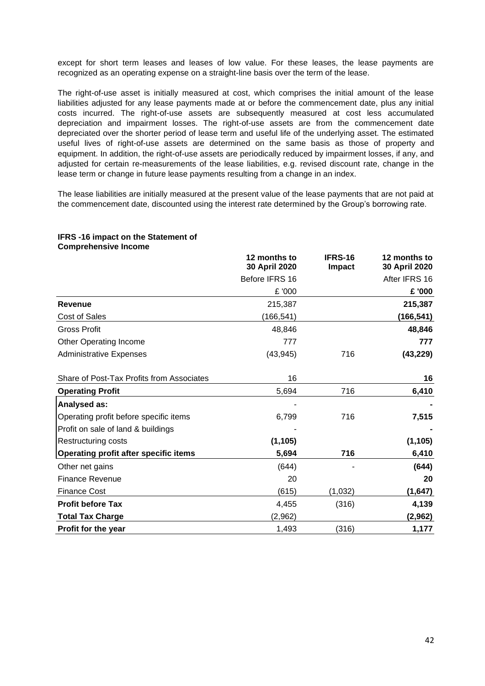except for short term leases and leases of low value. For these leases, the lease payments are recognized as an operating expense on a straight-line basis over the term of the lease.

The right-of-use asset is initially measured at cost, which comprises the initial amount of the lease liabilities adjusted for any lease payments made at or before the commencement date, plus any initial costs incurred. The right-of-use assets are subsequently measured at cost less accumulated depreciation and impairment losses. The right-of-use assets are from the commencement date depreciated over the shorter period of lease term and useful life of the underlying asset. The estimated useful lives of right-of-use assets are determined on the same basis as those of property and equipment. In addition, the right-of-use assets are periodically reduced by impairment losses, if any, and adjusted for certain re-measurements of the lease liabilities, e.g. revised discount rate, change in the lease term or change in future lease payments resulting from a change in an index.

The lease liabilities are initially measured at the present value of the lease payments that are not paid at the commencement date, discounted using the interest rate determined by the Group's borrowing rate.

# **IFRS -16 impact on the Statement of Comprehensive Income**

|                                              | 12 months to<br>30 April 2020 | <b>IFRS-16</b><br><b>Impact</b> | 12 months to<br>30 April 2020 |
|----------------------------------------------|-------------------------------|---------------------------------|-------------------------------|
|                                              | Before IFRS 16                |                                 | After IFRS 16                 |
|                                              | £ '000                        |                                 | £ '000                        |
| <b>Revenue</b>                               | 215,387                       |                                 | 215,387                       |
| <b>Cost of Sales</b>                         | (166, 541)                    |                                 | (166,541)                     |
| <b>Gross Profit</b>                          | 48,846                        |                                 | 48,846                        |
| Other Operating Income                       | 777                           |                                 | 777                           |
| <b>Administrative Expenses</b>               | (43, 945)                     | 716                             | (43, 229)                     |
|                                              |                               |                                 |                               |
| Share of Post-Tax Profits from Associates    | 16                            |                                 | 16                            |
| <b>Operating Profit</b>                      | 5,694                         | 716                             | 6,410                         |
| Analysed as:                                 |                               |                                 |                               |
| Operating profit before specific items       | 6,799                         | 716                             | 7,515                         |
| Profit on sale of land & buildings           |                               |                                 |                               |
| <b>Restructuring costs</b>                   | (1, 105)                      |                                 | (1, 105)                      |
| <b>Operating profit after specific items</b> | 5,694                         | 716                             | 6,410                         |
| Other net gains                              | (644)                         |                                 | (644)                         |
| <b>Finance Revenue</b>                       | 20                            |                                 | 20                            |
| <b>Finance Cost</b>                          | (615)                         | (1,032)                         | (1,647)                       |
| <b>Profit before Tax</b>                     | 4,455                         | (316)                           | 4,139                         |
| <b>Total Tax Charge</b>                      | (2,962)                       |                                 | (2,962)                       |
| Profit for the year                          | 1,493                         | (316)                           | 1,177                         |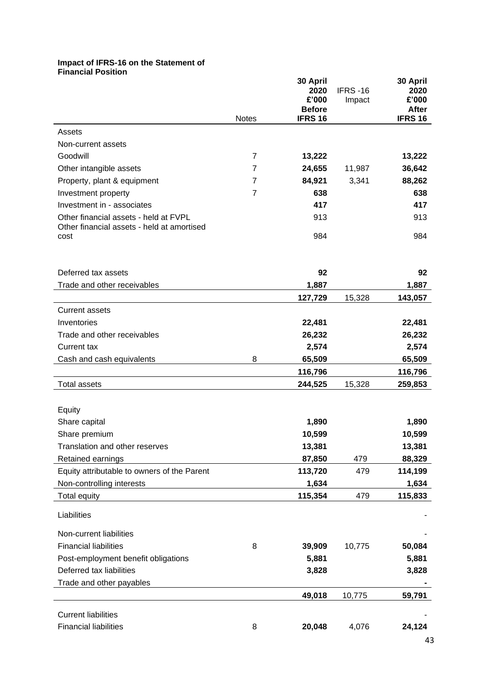#### **Impact of IFRS-16 on the Statement of Financial Position**

| <u>Filianulai Fusitiuni</u>                 | <b>Notes</b>   | 30 April<br>2020<br>£'000<br><b>Before</b><br><b>IFRS 16</b> | <b>IFRS-16</b><br>Impact | 30 April<br>2020<br>£'000<br><b>After</b><br><b>IFRS 16</b> |
|---------------------------------------------|----------------|--------------------------------------------------------------|--------------------------|-------------------------------------------------------------|
| Assets                                      |                |                                                              |                          |                                                             |
| Non-current assets                          |                |                                                              |                          |                                                             |
| Goodwill                                    | $\overline{7}$ | 13,222                                                       |                          | 13,222                                                      |
| Other intangible assets                     | $\overline{7}$ | 24,655                                                       | 11,987                   | 36,642                                                      |
| Property, plant & equipment                 | $\overline{7}$ | 84,921                                                       | 3,341                    | 88,262                                                      |
| Investment property                         | $\overline{7}$ | 638                                                          |                          | 638                                                         |
| Investment in - associates                  |                | 417                                                          |                          | 417                                                         |
| Other financial assets - held at FVPL       |                | 913                                                          |                          | 913                                                         |
| Other financial assets - held at amortised  |                |                                                              |                          |                                                             |
| cost                                        |                | 984                                                          |                          | 984                                                         |
| Deferred tax assets                         |                | 92                                                           |                          | 92                                                          |
| Trade and other receivables                 |                | 1,887                                                        |                          | 1,887                                                       |
|                                             |                | 127,729                                                      | 15,328                   | 143,057                                                     |
| <b>Current assets</b>                       |                |                                                              |                          |                                                             |
| Inventories                                 |                | 22,481                                                       |                          | 22,481                                                      |
| Trade and other receivables                 |                | 26,232                                                       |                          | 26,232                                                      |
| <b>Current tax</b>                          |                | 2,574                                                        |                          | 2,574                                                       |
| Cash and cash equivalents                   | 8              | 65,509                                                       |                          | 65,509                                                      |
|                                             |                | 116,796                                                      |                          | 116,796                                                     |
| <b>Total assets</b>                         |                | 244,525                                                      | 15,328                   | 259,853                                                     |
|                                             |                |                                                              |                          |                                                             |
| Equity                                      |                |                                                              |                          |                                                             |
| Share capital                               |                | 1,890                                                        |                          | 1,890                                                       |
| Share premium                               |                | 10,599                                                       |                          | 10,599                                                      |
| Translation and other reserves              |                | 13,381                                                       |                          | 13,381                                                      |
| Retained earnings                           |                | 87,850                                                       | 479                      | 88,329                                                      |
| Equity attributable to owners of the Parent |                | 113,720                                                      | 479                      | 114,199                                                     |
| Non-controlling interests                   |                | 1,634                                                        |                          | 1,634                                                       |
| <b>Total equity</b>                         |                | 115,354                                                      | 479                      | 115,833                                                     |
| Liabilities                                 |                |                                                              |                          |                                                             |
| Non-current liabilities                     |                |                                                              |                          |                                                             |
| <b>Financial liabilities</b>                | 8              | 39,909                                                       | 10,775                   | 50,084                                                      |
| Post-employment benefit obligations         |                | 5,881                                                        |                          | 5,881                                                       |
| Deferred tax liabilities                    |                | 3,828                                                        |                          | 3,828                                                       |
| Trade and other payables                    |                |                                                              |                          |                                                             |
|                                             |                | 49,018                                                       | 10,775                   | 59,791                                                      |
|                                             |                |                                                              |                          |                                                             |
| <b>Current liabilities</b>                  |                |                                                              |                          |                                                             |
| <b>Financial liabilities</b>                | 8              | 20,048                                                       | 4,076                    | 24,124                                                      |

43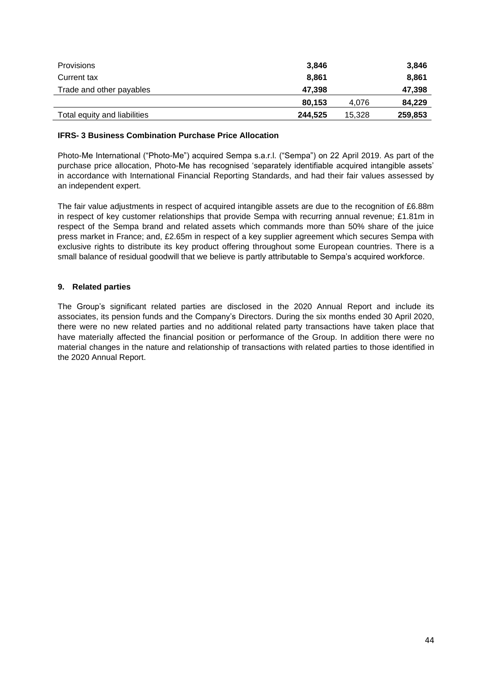| <b>Provisions</b>            | 3.846   |        | 3,846   |
|------------------------------|---------|--------|---------|
| Current tax                  | 8,861   |        | 8,861   |
| Trade and other payables     | 47,398  |        | 47,398  |
|                              | 80.153  | 4.076  | 84,229  |
| Total equity and liabilities | 244.525 | 15.328 | 259,853 |

#### **IFRS- 3 Business Combination Purchase Price Allocation**

Photo-Me International ("Photo-Me") acquired Sempa s.a.r.l. ("Sempa") on 22 April 2019. As part of the purchase price allocation, Photo-Me has recognised 'separately identifiable acquired intangible assets' in accordance with International Financial Reporting Standards, and had their fair values assessed by an independent expert.

The fair value adjustments in respect of acquired intangible assets are due to the recognition of £6.88m in respect of key customer relationships that provide Sempa with recurring annual revenue; £1.81m in respect of the Sempa brand and related assets which commands more than 50% share of the juice press market in France; and, £2.65m in respect of a key supplier agreement which secures Sempa with exclusive rights to distribute its key product offering throughout some European countries. There is a small balance of residual goodwill that we believe is partly attributable to Sempa's acquired workforce.

#### **9. Related parties**

The Group's significant related parties are disclosed in the 2020 Annual Report and include its associates, its pension funds and the Company's Directors. During the six months ended 30 April 2020, there were no new related parties and no additional related party transactions have taken place that have materially affected the financial position or performance of the Group. In addition there were no material changes in the nature and relationship of transactions with related parties to those identified in the 2020 Annual Report.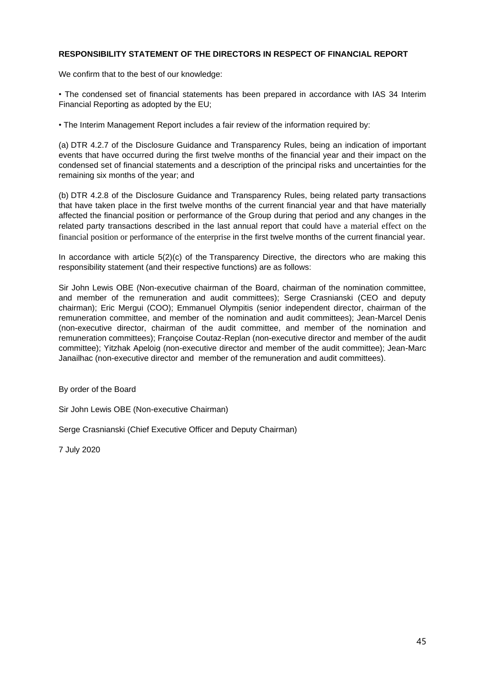#### **RESPONSIBILITY STATEMENT OF THE DIRECTORS IN RESPECT OF FINANCIAL REPORT**

We confirm that to the best of our knowledge:

• The condensed set of financial statements has been prepared in accordance with IAS 34 Interim Financial Reporting as adopted by the EU;

• The Interim Management Report includes a fair review of the information required by:

(a) DTR 4.2.7 of the Disclosure Guidance and Transparency Rules, being an indication of important events that have occurred during the first twelve months of the financial year and their impact on the condensed set of financial statements and a description of the principal risks and uncertainties for the remaining six months of the year; and

(b) DTR 4.2.8 of the Disclosure Guidance and Transparency Rules, being related party transactions that have taken place in the first twelve months of the current financial year and that have materially affected the financial position or performance of the Group during that period and any changes in the related party transactions described in the last annual report that could have a material effect on the financial position or performance of the enterprise in the first twelve months of the current financial year.

In accordance with article 5(2)(c) of the Transparency Directive, the directors who are making this responsibility statement (and their respective functions) are as follows:

Sir John Lewis OBE (Non-executive chairman of the Board, chairman of the nomination committee, and member of the remuneration and audit committees); Serge Crasnianski (CEO and deputy chairman); Eric Mergui (COO); Emmanuel Olympitis (senior independent director, chairman of the remuneration committee, and member of the nomination and audit committees); Jean-Marcel Denis (non-executive director, chairman of the audit committee, and member of the nomination and remuneration committees); Françoise Coutaz-Replan (non-executive director and member of the audit committee); Yitzhak Apeloig (non-executive director and member of the audit committee); Jean-Marc Janailhac (non-executive director and member of the remuneration and audit committees).

By order of the Board

Sir John Lewis OBE (Non-executive Chairman)

Serge Crasnianski (Chief Executive Officer and Deputy Chairman)

7 July 2020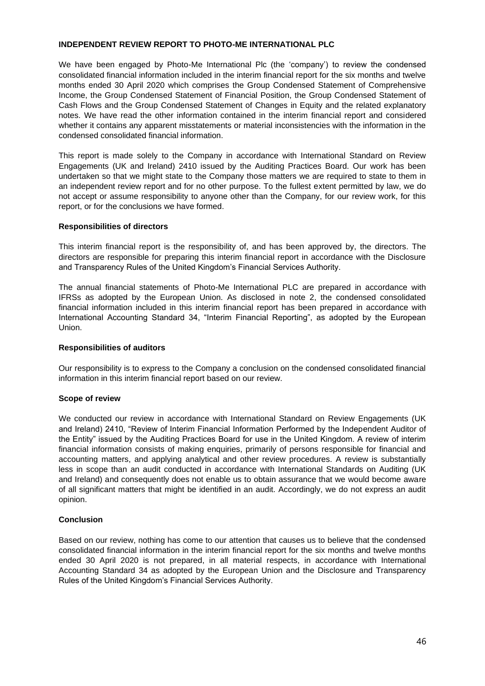#### **INDEPENDENT REVIEW REPORT TO PHOTO-ME INTERNATIONAL PLC**

We have been engaged by Photo-Me International Plc (the 'company') to review the condensed consolidated financial information included in the interim financial report for the six months and twelve months ended 30 April 2020 which comprises the Group Condensed Statement of Comprehensive Income, the Group Condensed Statement of Financial Position, the Group Condensed Statement of Cash Flows and the Group Condensed Statement of Changes in Equity and the related explanatory notes. We have read the other information contained in the interim financial report and considered whether it contains any apparent misstatements or material inconsistencies with the information in the condensed consolidated financial information.

This report is made solely to the Company in accordance with International Standard on Review Engagements (UK and Ireland) 2410 issued by the Auditing Practices Board. Our work has been undertaken so that we might state to the Company those matters we are required to state to them in an independent review report and for no other purpose. To the fullest extent permitted by law, we do not accept or assume responsibility to anyone other than the Company, for our review work, for this report, or for the conclusions we have formed.

#### **Responsibilities of directors**

This interim financial report is the responsibility of, and has been approved by, the directors. The directors are responsible for preparing this interim financial report in accordance with the Disclosure and Transparency Rules of the United Kingdom's Financial Services Authority.

The annual financial statements of Photo-Me International PLC are prepared in accordance with IFRSs as adopted by the European Union. As disclosed in note 2, the condensed consolidated financial information included in this interim financial report has been prepared in accordance with International Accounting Standard 34, "Interim Financial Reporting", as adopted by the European Union.

#### **Responsibilities of auditors**

Our responsibility is to express to the Company a conclusion on the condensed consolidated financial information in this interim financial report based on our review.

#### **Scope of review**

We conducted our review in accordance with International Standard on Review Engagements (UK and Ireland) 2410, "Review of Interim Financial Information Performed by the Independent Auditor of the Entity" issued by the Auditing Practices Board for use in the United Kingdom. A review of interim financial information consists of making enquiries, primarily of persons responsible for financial and accounting matters, and applying analytical and other review procedures. A review is substantially less in scope than an audit conducted in accordance with International Standards on Auditing (UK and Ireland) and consequently does not enable us to obtain assurance that we would become aware of all significant matters that might be identified in an audit. Accordingly, we do not express an audit opinion.

#### **Conclusion**

Based on our review, nothing has come to our attention that causes us to believe that the condensed consolidated financial information in the interim financial report for the six months and twelve months ended 30 April 2020 is not prepared, in all material respects, in accordance with International Accounting Standard 34 as adopted by the European Union and the Disclosure and Transparency Rules of the United Kingdom's Financial Services Authority.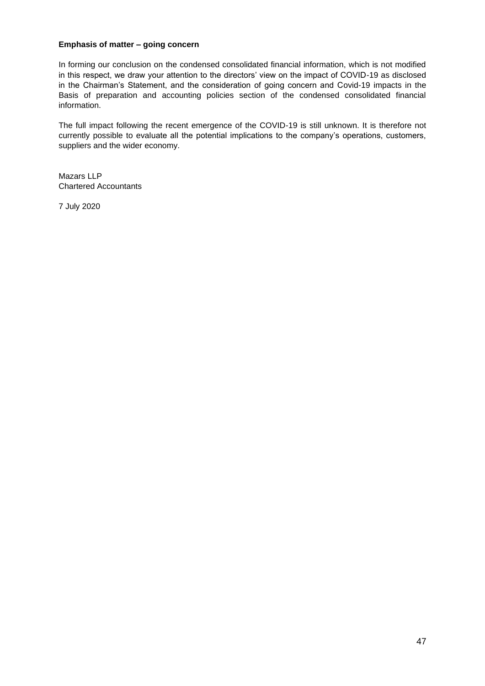#### **Emphasis of matter – going concern**

In forming our conclusion on the condensed consolidated financial information, which is not modified in this respect, we draw your attention to the directors' view on the impact of COVID-19 as disclosed in the Chairman's Statement, and the consideration of going concern and Covid-19 impacts in the Basis of preparation and accounting policies section of the condensed consolidated financial information.

The full impact following the recent emergence of the COVID-19 is still unknown. It is therefore not currently possible to evaluate all the potential implications to the company's operations, customers, suppliers and the wider economy.

Mazars LLP Chartered Accountants

7 July 2020